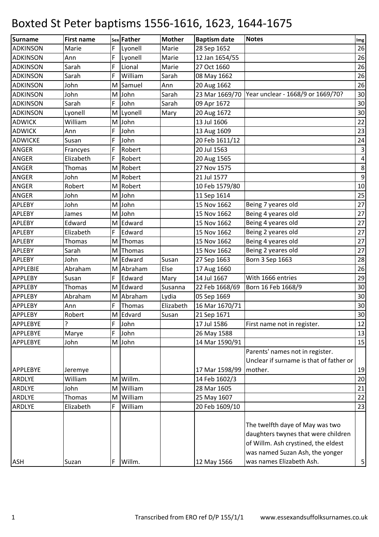| <b>Surname</b>  | <b>First name</b> |     | sex Father | <b>Mother</b> | <b>Baptism date</b> | <b>Notes</b>                                                                                                                                     | Img              |
|-----------------|-------------------|-----|------------|---------------|---------------------|--------------------------------------------------------------------------------------------------------------------------------------------------|------------------|
| <b>ADKINSON</b> | Marie             | F   | Lyonell    | Marie         | 28 Sep 1652         |                                                                                                                                                  | 26               |
| <b>ADKINSON</b> | Ann               | F   | Lyonell    | Marie         | 12 Jan 1654/55      |                                                                                                                                                  | 26               |
| <b>ADKINSON</b> | Sarah             | F   | Lional     | Marie         | 27 Oct 1660         |                                                                                                                                                  | 26               |
| <b>ADKINSON</b> | Sarah             | F   | William    | Sarah         | 08 May 1662         |                                                                                                                                                  | 26               |
| <b>ADKINSON</b> | John              | M   | Samuel     | Ann           | 20 Aug 1662         |                                                                                                                                                  | 26               |
| <b>ADKINSON</b> | John              | M   | John       | Sarah         |                     | 23 Mar 1669/70   Year unclear - 1668/9 or 1669/70?                                                                                               | 30               |
| <b>ADKINSON</b> | Sarah             | F   | John       | Sarah         | 09 Apr 1672         |                                                                                                                                                  | 30 <sup>°</sup>  |
| <b>ADKINSON</b> | Lyonell           |     | M Lyonell  | Mary          | 20 Aug 1672         |                                                                                                                                                  | 30               |
| <b>ADWICK</b>   | William           | M l | John       |               | 13 Jul 1606         |                                                                                                                                                  | 22               |
| <b>ADWICK</b>   | Ann               | F   | John       |               | 13 Aug 1609         |                                                                                                                                                  | 23               |
| <b>ADWICKE</b>  | Susan             | F   | John       |               | 20 Feb 1611/12      |                                                                                                                                                  | 24               |
| <b>ANGER</b>    | Francyes          | F   | Robert     |               | 20 Jul 1563         |                                                                                                                                                  | $\mathsf 3$      |
| ANGER           | Elizabeth         | F   | Robert     |               | 20 Aug 1565         |                                                                                                                                                  | $\pmb{4}$        |
| ANGER           | Thomas            | M   | Robert     |               | 27 Nov 1575         |                                                                                                                                                  | $\bf 8$          |
| ANGER           | John              | M   | Robert     |               | 21 Jul 1577         |                                                                                                                                                  | $\boldsymbol{9}$ |
| ANGER           | Robert            | M   | Robert     |               | 10 Feb 1579/80      |                                                                                                                                                  | 10               |
| ANGER           | John              | M   | John       |               | 11 Sep 1614         |                                                                                                                                                  | 25               |
| APLEBY          | John              |     | M John     |               | 15 Nov 1662         | Being 7 yeares old                                                                                                                               | $27$             |
| APLEBY          | James             | M   | John       |               | 15 Nov 1662         | Being 4 yeares old                                                                                                                               | 27               |
| APLEBY          | Edward            |     | M Edward   |               | 15 Nov 1662         | Being 4 yeares old                                                                                                                               | 27               |
| <b>APLEBY</b>   | Elizabeth         | F   | Edward     |               | 15 Nov 1662         | Being 2 yeares old                                                                                                                               | 27               |
| APLEBY          | Thomas            | M   | Thomas     |               | 15 Nov 1662         | Being 4 yeares old                                                                                                                               | 27               |
| APLEBY          | Sarah             | M   | Thomas     |               | 15 Nov 1662         | Being 2 yeares old                                                                                                                               | $27$             |
| <b>APLEBY</b>   | John              | M   | Edward     | Susan         | 27 Sep 1663         | Born 3 Sep 1663                                                                                                                                  | 28               |
| <b>APPLEBIE</b> | Abraham           |     | M Abraham  | Else          | 17 Aug 1660         |                                                                                                                                                  | 26               |
| <b>APPLEBY</b>  | Susan             | F   | Edward     | Mary          | 14 Jul 1667         | With 1666 entries                                                                                                                                | 29               |
| <b>APPLEBY</b>  | Thomas            |     | M Edward   | Susanna       | 22 Feb 1668/69      | Born 16 Feb 1668/9                                                                                                                               | 30               |
| <b>APPLEBY</b>  | Abraham           |     | M Abraham  | Lydia         | 05 Sep 1669         |                                                                                                                                                  | 30               |
| <b>APPLEBY</b>  | Ann               | F   | Thomas     | Elizabeth     | 16 Mar 1670/71      |                                                                                                                                                  | $30\,$           |
| <b>APPLEBY</b>  | Robert            |     | M Edvard   | Susan         | 21 Sep 1671         |                                                                                                                                                  | 30               |
| APPLEBYE        | ?                 | F   | John       |               | 17 Jul 1586         | First name not in register.                                                                                                                      | 12               |
| APPLEBYE        | Marye             | F   | John       |               | 26 May 1588         |                                                                                                                                                  | 13               |
| APPLEBYE        | John              |     | M John     |               | 14 Mar 1590/91      |                                                                                                                                                  | 15               |
|                 |                   |     |            |               |                     | Parents' names not in register.                                                                                                                  |                  |
|                 |                   |     |            |               |                     | Unclear if surname is that of father or                                                                                                          |                  |
| APPLEBYE        | Jeremye           |     |            |               | 17 Mar 1598/99      | mother.                                                                                                                                          | 19               |
| ARDLYE          | William           | M   | Willm.     |               | 14 Feb 1602/3       |                                                                                                                                                  | 20               |
| ARDLYE          | John              |     | M William  |               | 28 Mar 1605         |                                                                                                                                                  | 21               |
| ARDLYE          | Thomas            |     | M William  |               | 25 May 1607         |                                                                                                                                                  | 22               |
| ARDLYE          | Elizabeth         | F   | William    |               | 20 Feb 1609/10      |                                                                                                                                                  | 23               |
|                 |                   |     |            |               |                     | The twelfth daye of May was two<br>daughters twynes that were children<br>of Willm. Ash crystined, the eldest<br>was named Suzan Ash, the yonger |                  |
| <b>ASH</b>      | Suzan             | F   | Willm.     |               | 12 May 1566         | was names Elizabeth Ash.                                                                                                                         | 5 <sup>1</sup>   |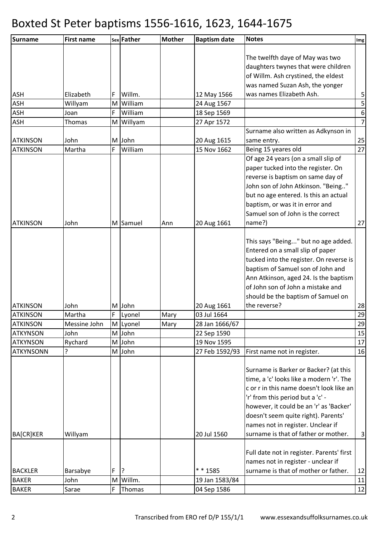| Surname          | <b>First name</b> |             | sex Father | <b>Mother</b> | <b>Baptism date</b> | <b>Notes</b>                              | Img                     |
|------------------|-------------------|-------------|------------|---------------|---------------------|-------------------------------------------|-------------------------|
|                  |                   |             |            |               |                     |                                           |                         |
|                  |                   |             |            |               |                     | The twelfth daye of May was two           |                         |
|                  |                   |             |            |               |                     | daughters twynes that were children       |                         |
|                  |                   |             |            |               |                     | of Willm. Ash crystined, the eldest       |                         |
|                  |                   |             |            |               |                     | was named Suzan Ash, the yonger           |                         |
| ASH              | Elizabeth         | F           | Willm.     |               | 12 May 1566         | was names Elizabeth Ash.                  | $\mathbf{5}$            |
| ASH              | Willyam           |             | M William  |               | 24 Aug 1567         |                                           | $\overline{\mathbf{5}}$ |
| ASH              | Joan              | F           | William    |               | 18 Sep 1569         |                                           | $6 \mid$                |
| <b>ASH</b>       | Thomas            |             | M Willyam  |               | 27 Apr 1572         |                                           | 7                       |
|                  |                   |             |            |               |                     | Surname also written as Adkynson in       |                         |
| <b>ATKINSON</b>  | John              |             | M John     |               | 20 Aug 1615         | same entry.                               | 25                      |
| <b>ATKINSON</b>  | Martha            | F           | William    |               | 15 Nov 1662         | Being 15 yeares old                       | 27                      |
|                  |                   |             |            |               |                     | Of age 24 years (on a small slip of       |                         |
|                  |                   |             |            |               |                     | paper tucked into the register. On        |                         |
|                  |                   |             |            |               |                     | reverse is baptism on same day of         |                         |
|                  |                   |             |            |               |                     | John son of John Atkinson. "Being"        |                         |
|                  |                   |             |            |               |                     | but no age entered. Is this an actual     |                         |
|                  |                   |             |            |               |                     | baptism, or was it in error and           |                         |
|                  |                   |             |            |               |                     | Samuel son of John is the correct         |                         |
| <b>ATKINSON</b>  | John              |             | M Samuel   | Ann           | 20 Aug 1661         | name?)                                    | 27                      |
|                  |                   |             |            |               |                     |                                           |                         |
|                  |                   |             |            |               |                     | This says "Being" but no age added.       |                         |
|                  |                   |             |            |               |                     | Entered on a small slip of paper          |                         |
|                  |                   |             |            |               |                     | tucked into the register. On reverse is   |                         |
|                  |                   |             |            |               |                     | baptism of Samuel son of John and         |                         |
|                  |                   |             |            |               |                     | Ann Atkinson, aged 24. Is the baptism     |                         |
|                  |                   |             |            |               |                     | of John son of John a mistake and         |                         |
|                  |                   |             |            |               |                     | should be the baptism of Samuel on        |                         |
| <b>ATKINSON</b>  | John              |             | M John     |               | 20 Aug 1661         | the reverse?                              | 28                      |
| <b>ATKINSON</b>  | Martha            | $\mathsf F$ | Lyonel     | Mary          | 03 Jul 1664         |                                           | 29                      |
| <b>ATKINSON</b>  | Messine John      |             | M Lyonel   | Mary          | 28 Jan 1666/67      |                                           | 29                      |
| <b>ATKYNSON</b>  | John              |             | M John     |               | 22 Sep 1590         |                                           | 15                      |
| <b>ATKYNSON</b>  | Rychard           |             | M John     |               | 19 Nov 1595         |                                           | 17                      |
| <b>ATKYNSONN</b> | ς                 |             | M John     |               | 27 Feb 1592/93      | First name not in register.               | 16                      |
|                  |                   |             |            |               |                     |                                           |                         |
|                  |                   |             |            |               |                     | Surname is Barker or Backer? (at this     |                         |
|                  |                   |             |            |               |                     | time, a 'c' looks like a modern 'r'. The  |                         |
|                  |                   |             |            |               |                     | c or r in this name doesn't look like an  |                         |
|                  |                   |             |            |               |                     | 'r' from this period but a 'c' -          |                         |
|                  |                   |             |            |               |                     | however, it could be an 'r' as 'Backer'   |                         |
|                  |                   |             |            |               |                     | doesn't seem quite right). Parents'       |                         |
|                  |                   |             |            |               |                     | names not in register. Unclear if         |                         |
| BA[CR]KER        | Willyam           |             |            |               | 20 Jul 1560         | surname is that of father or mother.      | 3                       |
|                  |                   |             |            |               |                     |                                           |                         |
|                  |                   |             |            |               |                     | Full date not in register. Parents' first |                         |
|                  |                   |             |            |               |                     | names not in register - unclear if        |                         |
| <b>BACKLER</b>   | Barsabye          | F           | ļ?         |               | * * 1585            | surname is that of mother or father.      | 12                      |
| <b>BAKER</b>     | John              |             | M Willm.   |               | 19 Jan 1583/84      |                                           | 11                      |
| <b>BAKER</b>     | Sarae             | F           | Thomas     |               | 04 Sep 1586         |                                           | 12                      |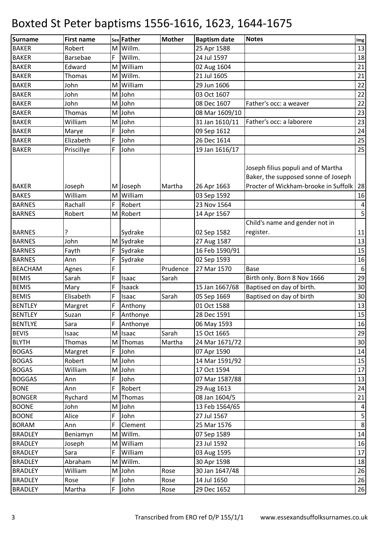| <b>Surname</b>               | <b>First name</b> |   | sex Father       | <b>Mother</b> | <b>Baptism date</b>           | <b>Notes</b>                                                                                                      | $\mathop{\textsf{Img}}$ |
|------------------------------|-------------------|---|------------------|---------------|-------------------------------|-------------------------------------------------------------------------------------------------------------------|-------------------------|
| <b>BAKER</b>                 | Robert            |   | M Willm.         |               | 25 Apr 1588                   |                                                                                                                   | 13                      |
| <b>BAKER</b>                 | Barsebae          | F | Willm.           |               | 24 Jul 1597                   |                                                                                                                   | 18                      |
| <b>BAKER</b>                 | Edward            |   | M William        |               | 02 Aug 1604                   |                                                                                                                   | 21                      |
| <b>BAKER</b>                 | Thomas            |   | M Willm.         |               | 21 Jul 1605                   |                                                                                                                   | 21                      |
| <b>BAKER</b>                 | John              |   | M William        |               | 29 Jun 1606                   |                                                                                                                   | 22                      |
| <b>BAKER</b>                 | John              |   | M John           |               | 03 Oct 1607                   |                                                                                                                   | 22                      |
| <b>BAKER</b>                 | John              |   | M John           |               | 08 Dec 1607                   | Father's occ: a weaver                                                                                            | 22                      |
| <b>BAKER</b>                 | Thomas            |   | M John           |               | 08 Mar 1609/10                |                                                                                                                   | 23                      |
| <b>BAKER</b>                 | William           |   | M John           |               | 31 Jan 1610/11                | Father's occ: a laborere                                                                                          | 23                      |
| <b>BAKER</b>                 | Marye             | F | John             |               | 09 Sep 1612                   |                                                                                                                   | 24                      |
| <b>BAKER</b>                 | Elizabeth         | F | John             |               | 26 Dec 1614                   |                                                                                                                   | 25                      |
| <b>BAKER</b>                 | Priscillye        | F | John             |               | 19 Jan 1616/17                |                                                                                                                   | 25                      |
| <b>BAKER</b>                 | Joseph            |   | M Joseph         | Martha        | 26 Apr 1663                   | Joseph filius populi and of Martha<br>Baker, the supposed sonne of Joseph<br>Procter of Wickham-brooke in Suffolk | 28                      |
| <b>BAKES</b>                 | William           |   | M William        |               | 03 Sep 1592                   |                                                                                                                   | 16                      |
| <b>BARNES</b>                | Rachall           | F | Robert           |               | 23 Nov 1564                   |                                                                                                                   | $\pmb{4}$               |
| <b>BARNES</b>                | Robert            |   | M Robert         |               | 14 Apr 1567                   |                                                                                                                   | 5                       |
|                              |                   |   |                  |               |                               | Child's name and gender not in                                                                                    |                         |
| <b>BARNES</b>                | ?                 |   | Sydrake          |               | 02 Sep 1582                   | register.                                                                                                         | 11                      |
| <b>BARNES</b>                | John              |   | M Sydrake        |               | 27 Aug 1587                   |                                                                                                                   | 13                      |
| <b>BARNES</b>                | Fayth             | F | Sydrake          |               | 16 Feb 1590/91                |                                                                                                                   | 15                      |
| <b>BARNES</b>                | Ann               | F | Sydrake          |               | 02 Sep 1593                   |                                                                                                                   | 16                      |
| <b>BEACHAM</b>               | Agnes             | F |                  | Prudence      | 27 Mar 1570                   | <b>Base</b>                                                                                                       | $\boldsymbol{6}$        |
| <b>BEMIS</b>                 | Sarah             | F | Isaac            | Sarah         |                               | Birth only. Born 8 Nov 1666                                                                                       | 29                      |
| <b>BEMIS</b>                 | Mary              | F | Isaack           |               | 15 Jan 1667/68                | Baptised on day of birth.                                                                                         | 30                      |
| <b>BEMIS</b>                 | Elisabeth         | F | Isaac            | Sarah         | 05 Sep 1669                   | Baptised on day of birth                                                                                          | 30                      |
| <b>BENTLEY</b>               | Margret           | F | Anthony          |               | 01 Oct 1588                   |                                                                                                                   | 13                      |
| <b>BENTLEY</b>               | Suzan             | F | Anthonye         |               | 28 Dec 1591                   |                                                                                                                   | 15                      |
| <b>BENTLYE</b>               | Sara              | F | Anthonye         |               | 06 May 1593                   |                                                                                                                   | 16                      |
| <b>BEVIS</b>                 | Isaac             |   | M Isaac          | Sarah         | 15 Oct 1665                   |                                                                                                                   | 29                      |
| <b>BLYTH</b>                 | Thomas            |   | M Thomas         | Martha        | 24 Mar 1671/72                |                                                                                                                   | 30                      |
| <b>BOGAS</b>                 | Margret           | F | John             |               | 07 Apr 1590                   |                                                                                                                   | 14                      |
| <b>BOGAS</b><br><b>BOGAS</b> | Robert<br>William |   | M John<br>M John |               | 14 Mar 1591/92<br>17 Oct 1594 |                                                                                                                   | 15<br>17                |
| <b>BOGGAS</b>                | Ann               | F | John             |               | 07 Mar 1587/88                |                                                                                                                   | 13                      |
| <b>BONE</b>                  | Ann               | F | Robert           |               | 29 Aug 1613                   |                                                                                                                   | 24                      |
| <b>BONGER</b>                | Rychard           |   | M Thomas         |               | 08 Jan 1604/5                 |                                                                                                                   | 21                      |
| <b>BOONE</b>                 | John              |   | M John           |               | 13 Feb 1564/65                |                                                                                                                   | $\overline{a}$          |
| <b>BOONE</b>                 | Alice             | F | John             |               | 27 Jul 1567                   |                                                                                                                   | $\mathsf S$             |
| <b>BORAM</b>                 | Ann               | F | Clement          |               | 25 Mar 1576                   |                                                                                                                   | $\infty$                |
| <b>BRADLEY</b>               | Beniamyn          |   | M Willm.         |               | 07 Sep 1589                   |                                                                                                                   | 14                      |
| <b>BRADLEY</b>               | Joseph            |   | M William        |               | 23 Jul 1592                   |                                                                                                                   | 16                      |
| <b>BRADLEY</b>               | Sara              | F | William          |               | 03 Aug 1595                   |                                                                                                                   | $17\,$                  |
| <b>BRADLEY</b>               | Abraham           |   | M Willm.         |               | 30 Apr 1598                   |                                                                                                                   | 18                      |
| <b>BRADLEY</b>               | William           |   | M John           | Rose          | 30 Jan 1647/48                |                                                                                                                   | 26                      |
| <b>BRADLEY</b>               | Rose              | F | John             | Rose          | 14 Jul 1650                   |                                                                                                                   | 26                      |
| <b>BRADLEY</b>               | Martha            | F | John             | Rose          | 29 Dec 1652                   |                                                                                                                   | 26                      |
|                              |                   |   |                  |               |                               |                                                                                                                   |                         |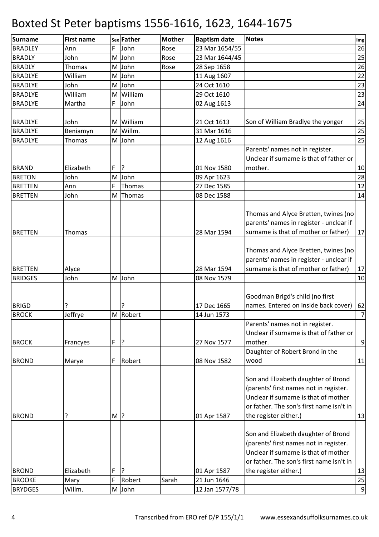| <b>Surname</b>                | <b>First name</b> |        | sex Father  | <b>Mother</b> | <b>Baptism date</b>        | <b>Notes</b>                                                                                                                                                                               | Img            |
|-------------------------------|-------------------|--------|-------------|---------------|----------------------------|--------------------------------------------------------------------------------------------------------------------------------------------------------------------------------------------|----------------|
| <b>BRADLEY</b>                | Ann               | F      | John        | Rose          | 23 Mar 1654/55             |                                                                                                                                                                                            | 26             |
| <b>BRADLY</b>                 | John              |        | M John      | Rose          | 23 Mar 1644/45             |                                                                                                                                                                                            | 25             |
| <b>BRADLY</b>                 | Thomas            |        | M John      | Rose          | 28 Sep 1658                |                                                                                                                                                                                            | 26             |
| <b>BRADLYE</b>                | William           |        | M John      |               | 11 Aug 1607                |                                                                                                                                                                                            | 22             |
| <b>BRADLYE</b>                | John              |        | M John      |               | 24 Oct 1610                |                                                                                                                                                                                            | 23             |
| <b>BRADLYE</b>                | William           |        | M William   |               | 29 Oct 1610                |                                                                                                                                                                                            | 23             |
| <b>BRADLYE</b>                | Martha            | F      | John        |               | 02 Aug 1613                |                                                                                                                                                                                            | 24             |
|                               |                   |        |             |               |                            |                                                                                                                                                                                            |                |
| <b>BRADLYE</b>                | John              |        | M William   |               | 21 Oct 1613                | Son of William Bradlye the yonger                                                                                                                                                          | 25             |
| <b>BRADLYE</b>                | Beniamyn          |        | M Willm.    |               | 31 Mar 1616                |                                                                                                                                                                                            | 25             |
| <b>BRADLYE</b>                | Thomas            |        | M John      |               | 12 Aug 1616                |                                                                                                                                                                                            | 25             |
|                               |                   |        |             |               |                            | Parents' names not in register.                                                                                                                                                            |                |
|                               |                   |        |             |               |                            | Unclear if surname is that of father or                                                                                                                                                    |                |
| <b>BRAND</b>                  | Elizabeth         | F      | ?           |               | 01 Nov 1580                | mother.                                                                                                                                                                                    | 10             |
| <b>BRETON</b>                 | John              |        | M John      |               | 09 Apr 1623                |                                                                                                                                                                                            | 28             |
| <b>BRETTEN</b>                | Ann               | F      | Thomas      |               | 27 Dec 1585                |                                                                                                                                                                                            | 12             |
| <b>BRETTEN</b>                | John              |        | M Thomas    |               | 08 Dec 1588                |                                                                                                                                                                                            | 14             |
| <b>BRETTEN</b>                | Thomas            |        |             |               | 28 Mar 1594                | Thomas and Alyce Bretten, twines (no<br>parents' names in register - unclear if<br>surname is that of mother or father)                                                                    | 17             |
|                               |                   |        |             |               |                            |                                                                                                                                                                                            |                |
| <b>BRETTEN</b>                | Alyce             |        |             |               | 28 Mar 1594                | Thomas and Alyce Bretten, twines (no<br>parents' names in register - unclear if<br>surname is that of mother or father)                                                                    | 17             |
| <b>BRIDGES</b>                | John              |        | M John      |               | 08 Nov 1579                |                                                                                                                                                                                            | 10             |
| <b>BRIGD</b><br><b>BROCK</b>  | Jeffrye           |        | M Robert    |               | 17 Dec 1665<br>14 Jun 1573 | Goodman Brigd's child (no first<br>names. Entered on inside back cover)                                                                                                                    | 62<br>7        |
| <b>BROCK</b>                  | Francyes          | F      | 3           |               | 27 Nov 1577                | Parents' names not in register.<br>Unclear if surname is that of father or<br>mother.                                                                                                      | $\overline{9}$ |
| <b>BROND</b>                  | Marye             | F      | Robert      |               | 08 Nov 1582                | Daughter of Robert Brond in the<br>wood                                                                                                                                                    | 11             |
| <b>BROND</b>                  |                   | $M$ ?  |             |               | 01 Apr 1587                | Son and Elizabeth daughter of Brond<br>(parents' first names not in register.<br>Unclear if surname is that of mother<br>or father. The son's first name isn't in<br>the register either.) | 13             |
| <b>BROND</b><br><b>BROOKE</b> | Elizabeth<br>Mary | F<br>F | ?<br>Robert | Sarah         | 01 Apr 1587<br>21 Jun 1646 | Son and Elizabeth daughter of Brond<br>(parents' first names not in register.<br>Unclear if surname is that of mother<br>or father. The son's first name isn't in<br>the register either.) | 13<br>25       |
| <b>BRYDGES</b>                | Willm.            |        | M John      |               | 12 Jan 1577/78             |                                                                                                                                                                                            |                |
|                               |                   |        |             |               |                            |                                                                                                                                                                                            | $\overline{9}$ |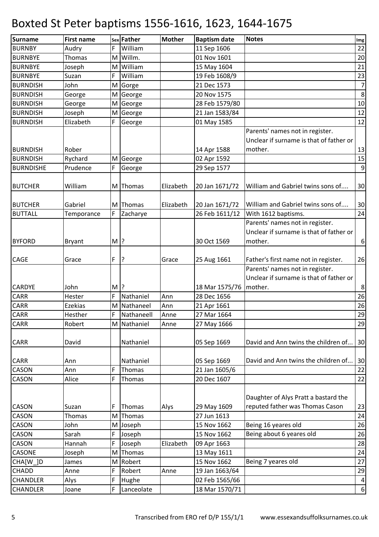| <b>Surname</b>   | <b>First name</b> |        | sex Father  | <b>Mother</b> | <b>Baptism date</b> | <b>Notes</b>                                                               | Img            |
|------------------|-------------------|--------|-------------|---------------|---------------------|----------------------------------------------------------------------------|----------------|
| <b>BURNBY</b>    | Audry             | F      | William     |               | 11 Sep 1606         |                                                                            | 22             |
| <b>BURNBYE</b>   | Thomas            |        | M Willm.    |               | 01 Nov 1601         |                                                                            | 20             |
| <b>BURNBYE</b>   | Joseph            |        | M William   |               | 15 May 1604         |                                                                            | 21             |
| <b>BURNBYE</b>   | Suzan             | F      | William     |               | 19 Feb 1608/9       |                                                                            | 23             |
| <b>BURNDISH</b>  | John              |        | M Gorge     |               | 21 Dec 1573         |                                                                            | $\overline{7}$ |
| <b>BURNDISH</b>  | George            |        | M George    |               | 20 Nov 1575         |                                                                            | $\,8\,$        |
| <b>BURNDISH</b>  | George            |        | M George    |               | 28 Feb 1579/80      |                                                                            | $10\,$         |
| <b>BURNDISH</b>  | Joseph            |        | M George    |               | 21 Jan 1583/84      |                                                                            | 12             |
| <b>BURNDISH</b>  | Elizabeth         | F      | George      |               | 01 May 1585         |                                                                            | 12             |
|                  |                   |        |             |               |                     | Parents' names not in register.<br>Unclear if surname is that of father or |                |
| <b>BURNDISH</b>  | Rober             |        |             |               | 14 Apr 1588         | mother.                                                                    | 13             |
| <b>BURNDISH</b>  | Rychard           |        | M George    |               | 02 Apr 1592         |                                                                            | 15             |
| <b>BURNDISHE</b> | Prudence          | F      | George      |               | 29 Sep 1577         |                                                                            | $\overline{9}$ |
| <b>BUTCHER</b>   | William           |        | M Thomas    | Elizabeth     | 20 Jan 1671/72      | William and Gabriel twins sons of                                          | 30             |
| <b>BUTCHER</b>   | Gabriel           |        | M Thomas    | Elizabeth     | 20 Jan 1671/72      | William and Gabriel twins sons of                                          | 30             |
| <b>BUTTALL</b>   | Temporance        | F      | Zacharye    |               | 26 Feb 1611/12      | With 1612 baptisms.                                                        | 24             |
|                  |                   |        |             |               |                     | Parents' names not in register.                                            |                |
|                  |                   |        |             |               |                     | Unclear if surname is that of father or                                    |                |
| <b>BYFORD</b>    | <b>Bryant</b>     | $M$ ?  |             |               | 30 Oct 1569         | mother.                                                                    | $6 \mid$       |
|                  |                   |        |             |               |                     |                                                                            |                |
| <b>CAGE</b>      | Grace             | F      | ?           | Grace         | 25 Aug 1661         | Father's first name not in register.                                       | 26             |
|                  |                   |        |             |               |                     | Parents' names not in register.<br>Unclear if surname is that of father or |                |
| <b>CARDYE</b>    | John              | $M$  ? |             |               | 18 Mar 1575/76      | mother.                                                                    | 8 <sup>1</sup> |
| CARR             | Hester            | F      | Nathaniel   | Ann           | 28 Dec 1656         |                                                                            | 26             |
| <b>CARR</b>      | Ezekias           |        | M Nathaneel | Ann           | 21 Apr 1661         |                                                                            | 26             |
| <b>CARR</b>      | Hesther           | F      | Nathaneell  | Anne          | 27 Mar 1664         |                                                                            | 29             |
| CARR             | Robert            |        | M Nathaniel | Anne          | 27 May 1666         |                                                                            | 29             |
| <b>CARR</b>      | David             |        | Nathaniel   |               | 05 Sep 1669         | David and Ann twins the children of                                        | 30             |
| <b>CARR</b>      | Ann               |        | Nathaniel   |               | 05 Sep 1669         | David and Ann twins the children of                                        | 30             |
| CASON            | Ann               | F      | Thomas      |               | 21 Jan 1605/6       |                                                                            | 22             |
| CASON            | Alice             | F      | Thomas      |               | 20 Dec 1607         |                                                                            | 22             |
|                  |                   |        |             |               |                     | Daughter of Alys Pratt a bastard the                                       |                |
| CASON            | Suzan             | F      | Thomas      | Alys          | 29 May 1609         | reputed father was Thomas Cason                                            | 23             |
| CASON            | Thomas            |        | M Thomas    |               | 27 Jun 1613         |                                                                            | 24             |
| CASON            | John              |        | M Joseph    |               | 15 Nov 1662         | Being 16 yeares old                                                        | 26             |
| CASON            | Sarah             | F      | Joseph      |               | 15 Nov 1662         | Being about 6 yeares old                                                   | 26             |
| CASON            | Hannah            | F      | Joseph      | Elizabeth     | 09 Apr 1663         |                                                                            | 28             |
| CASONE           | Joseph            |        | M Thomas    |               | 13 May 1611         |                                                                            | 24             |
| CHA[W_]D         | James             | M      | Robert      |               | 15 Nov 1662         | Being 7 yeares old                                                         | 27             |
| CHADD            | Anne              | F      | Robert      | Anne          | 19 Jan 1663/64      |                                                                            | 29             |
| <b>CHANDLER</b>  | Alys              | F      | Hughe       |               | 02 Feb 1565/66      |                                                                            | 4              |
| <b>CHANDLER</b>  | Joane             | F      | Lanceolate  |               | 18 Mar 1570/71      |                                                                            | $6 \mid$       |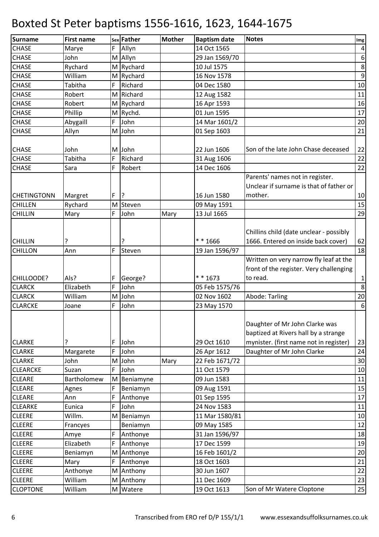| Surname            | <b>First name</b> |   | sex Father   | <b>Mother</b> | <b>Baptism date</b> | <b>Notes</b>                                                                                                     | Img              |
|--------------------|-------------------|---|--------------|---------------|---------------------|------------------------------------------------------------------------------------------------------------------|------------------|
| <b>CHASE</b>       | Marye             | F | Allyn        |               | 14 Oct 1565         |                                                                                                                  | $\pmb{4}$        |
| <b>CHASE</b>       | John              |   | M Allyn      |               | 29 Jan 1569/70      |                                                                                                                  | $\boldsymbol{6}$ |
| <b>CHASE</b>       | Rychard           |   | M Rychard    |               | 10 Jul 1575         |                                                                                                                  | $\bf 8$          |
| <b>CHASE</b>       | William           |   | M Rychard    |               | 16 Nov 1578         |                                                                                                                  | $\overline{9}$   |
| <b>CHASE</b>       | Tabitha           | F | Richard      |               | 04 Dec 1580         |                                                                                                                  | 10               |
| <b>CHASE</b>       | Robert            |   | M Richard    |               | 12 Aug 1582         |                                                                                                                  | 11               |
| <b>CHASE</b>       | Robert            |   | M Rychard    |               | 16 Apr 1593         |                                                                                                                  | 16               |
| <b>CHASE</b>       | Phillip           |   | M Rychd.     |               | 01 Jun 1595         |                                                                                                                  | 17               |
| <b>CHASE</b>       | Abygaill          | F | John         |               | 14 Mar 1601/2       |                                                                                                                  | 20               |
| <b>CHASE</b>       | Allyn             |   | M John       |               | 01 Sep 1603         |                                                                                                                  | 21               |
|                    |                   |   |              |               |                     |                                                                                                                  |                  |
| <b>CHASE</b>       | John              |   | M John       |               | 22 Jun 1606         | Son of the late John Chase deceased                                                                              | 22               |
| <b>CHASE</b>       | Tabitha           | F | Richard      |               | 31 Aug 1606         |                                                                                                                  | 22               |
| <b>CHASE</b>       | Sara              | F | Robert       |               | 14 Dec 1606         |                                                                                                                  | 22               |
|                    |                   |   |              |               |                     | Parents' names not in register.                                                                                  |                  |
|                    |                   |   |              |               |                     | Unclear if surname is that of father or                                                                          |                  |
| <b>CHETINGTONN</b> | Margret           | F | $\mathsf{P}$ |               | 16 Jun 1580         | mother.                                                                                                          | 10               |
| <b>CHILLEN</b>     | Rychard           |   | M Steven     |               | 09 May 1591         |                                                                                                                  | 15               |
| <b>CHILLIN</b>     | Mary              | F | John         | Mary          | 13 Jul 1665         |                                                                                                                  | 29               |
|                    |                   |   |              |               |                     |                                                                                                                  |                  |
|                    |                   |   |              |               |                     | Chillins child (date unclear - possibly                                                                          |                  |
| <b>CHILLIN</b>     | 5.                |   | ?            |               | ** 1666             | 1666. Entered on inside back cover)                                                                              | 62               |
| <b>CHILLON</b>     | Ann               | F | Steven       |               | 19 Jan 1596/97      |                                                                                                                  | 18               |
|                    |                   |   |              |               |                     | Written on very narrow fly leaf at the                                                                           |                  |
|                    |                   |   |              |               |                     | front of the register. Very challenging                                                                          |                  |
| CHILLOODE?         | Als?              | F | George?      |               | * * 1673            | to read.                                                                                                         | $\mathbf{1}$     |
| <b>CLARCK</b>      | Elizabeth         | F | John         |               | 05 Feb 1575/76      |                                                                                                                  | 8                |
| <b>CLARCK</b>      | William           |   | M John       |               | 02 Nov 1602         | Abode: Tarling                                                                                                   | 20               |
| <b>CLARCKE</b>     | Joane             | F | John         |               | 23 May 1570         |                                                                                                                  | $\boldsymbol{6}$ |
| <b>CLARKE</b>      |                   | F | John         |               | 29 Oct 1610         | Daughter of Mr John Clarke was<br>baptized at Rivers hall by a strange<br>mynister. (first name not in register) | 23               |
| <b>CLARKE</b>      | Margarete         | F | John         |               | 26 Apr 1612         | Daughter of Mr John Clarke                                                                                       | 24               |
| <b>CLARKE</b>      | John              |   | M John       | Mary          | 22 Feb 1671/72      |                                                                                                                  | 30               |
| <b>CLEARCKE</b>    | Suzan             | F | John         |               | 11 Oct 1579         |                                                                                                                  | 10               |
| <b>CLEARE</b>      | Bartholomew       |   | M Beniamyne  |               | 09 Jun 1583         |                                                                                                                  | 11               |
| <b>CLEARE</b>      | Agnes             | F | Beniamyn     |               | 09 Aug 1591         |                                                                                                                  | 15               |
| <b>CLEARE</b>      | Ann               | F | Anthonye     |               | 01 Sep 1595         |                                                                                                                  | 17               |
| <b>CLEARKE</b>     | Eunica            | F | John         |               | 24 Nov 1583         |                                                                                                                  | 11               |
| <b>CLEERE</b>      | Willm.            | М | Beniamyn     |               | 11 Mar 1580/81      |                                                                                                                  | 10               |
| <b>CLEERE</b>      | Francyes          |   | Beniamyn     |               | 09 May 1585         |                                                                                                                  | 12               |
| <b>CLEERE</b>      | Amye              | F | Anthonye     |               | 31 Jan 1596/97      |                                                                                                                  | 18               |
| <b>CLEERE</b>      | Elizabeth         | F | Anthonye     |               | 17 Dec 1599         |                                                                                                                  | 19               |
| <b>CLEERE</b>      | Beniamyn          |   | M Anthonye   |               | 16 Feb 1601/2       |                                                                                                                  | 20               |
| <b>CLEERE</b>      | Mary              | F | Anthonye     |               | 18 Oct 1603         |                                                                                                                  | 21               |
| <b>CLEERE</b>      | Anthonye          |   | M Anthony    |               | 30 Jun 1607         |                                                                                                                  | 22               |
| <b>CLEERE</b>      | William           |   | M Anthony    |               | 11 Dec 1609         |                                                                                                                  | 23               |
| <b>CLOPTONE</b>    | William           |   | M Watere     |               | 19 Oct 1613         | Son of Mr Watere Cloptone                                                                                        | 25               |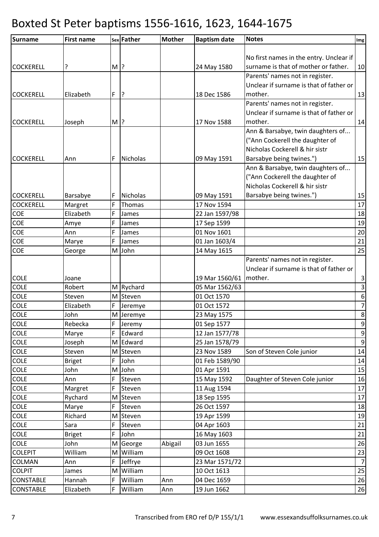| Surname             | <b>First name</b>     |       | sex Father     | <b>Mother</b> | <b>Baptism date</b>        | <b>Notes</b>                            | Img                     |
|---------------------|-----------------------|-------|----------------|---------------|----------------------------|-----------------------------------------|-------------------------|
|                     |                       |       |                |               |                            |                                         |                         |
|                     |                       |       |                |               |                            | No first names in the entry. Unclear if |                         |
| <b>COCKERELL</b>    | ?                     | $M$ ? |                |               | 24 May 1580                | surname is that of mother or father.    | 10                      |
|                     |                       |       |                |               |                            | Parents' names not in register.         |                         |
|                     |                       |       |                |               |                            | Unclear if surname is that of father or |                         |
| <b>COCKERELL</b>    | Elizabeth             | F     | ?              |               | 18 Dec 1586                | mother.                                 | 13                      |
|                     |                       |       |                |               |                            | Parents' names not in register.         |                         |
|                     |                       |       |                |               |                            | Unclear if surname is that of father or |                         |
| <b>COCKERELL</b>    | Joseph                | $M$ ? |                |               | 17 Nov 1588                | mother.                                 | 14                      |
|                     |                       |       |                |               |                            | Ann & Barsabye, twin daughters of       |                         |
|                     |                       |       |                |               |                            | ("Ann Cockerell the daughter of         |                         |
|                     |                       |       |                |               |                            | Nicholas Cockerell & hir sistr          |                         |
| <b>COCKERELL</b>    | Ann                   | F     | Nicholas       |               | 09 May 1591                | Barsabye being twines.")                | 15                      |
|                     |                       |       |                |               |                            | Ann & Barsabye, twin daughters of       |                         |
|                     |                       |       |                |               |                            | ("Ann Cockerell the daughter of         |                         |
|                     |                       |       |                |               |                            | Nicholas Cockerell & hir sistr          |                         |
| <b>COCKERELL</b>    | Barsabye              | F     | Nicholas       |               | 09 May 1591                | Barsabye being twines.")                | 15                      |
| <b>COCKERELL</b>    | Margret               | F     | Thomas         |               | 17 Nov 1594                |                                         | 17                      |
| COE                 | Elizabeth             | F     | James          |               | 22 Jan 1597/98             |                                         | 18                      |
| COE                 | Amye                  | F     | James          |               | 17 Sep 1599                |                                         | 19                      |
| COE                 | Ann                   | F     | James          |               | 01 Nov 1601                |                                         | 20                      |
| COE                 | Marye                 | F     | James          |               | 01 Jan 1603/4              |                                         | 21                      |
| COE                 | George                |       | M John         |               | 14 May 1615                |                                         | 25                      |
|                     |                       |       |                |               |                            | Parents' names not in register.         |                         |
|                     |                       |       |                |               |                            | Unclear if surname is that of father or |                         |
| <b>COLE</b>         | Joane                 |       |                |               | 19 Mar 1560/61   mother.   |                                         | $\mathbf{3}$            |
| COLE                | Robert                |       | M Rychard      |               | 05 Mar 1562/63             |                                         | $\overline{\mathbf{3}}$ |
| COLE                | Steven                |       | M Steven       |               | 01 Oct 1570                |                                         | $\overline{6}$          |
| COLE                | Elizabeth             | F     | Jeremye        |               | 01 Oct 1572                |                                         | $\overline{7}$          |
| <b>COLE</b>         | John                  |       | M Jeremye      |               | 23 May 1575                |                                         | $\bf 8$                 |
| <b>COLE</b>         | Rebecka               | F     | Jeremy         |               | 01 Sep 1577                |                                         | $\boldsymbol{9}$        |
| <b>COLE</b>         | Marye                 | F     | Edward         |               | 12 Jan 1577/78             |                                         | $\overline{9}$          |
| <b>COLE</b>         | Joseph                |       | M Edward       |               | 25 Jan 1578/79             |                                         | $\overline{9}$          |
| <b>COLE</b>         | Steven                | M     | Steven         |               | 23 Nov 1589                | Son of Steven Cole junior               | 14                      |
| COLE<br><b>COLE</b> | <b>Briget</b><br>John | F     | John<br>M John |               | 01 Feb 1589/90             |                                         | 14                      |
| <b>COLE</b>         | Ann                   | F     | Steven         |               | 01 Apr 1591<br>15 May 1592 | Daughter of Steven Cole junior          | 15<br>16                |
| <b>COLE</b>         | Margret               | F     | Steven         |               | 11 Aug 1594                |                                         | 17                      |
| COLE                | Rychard               |       | M Steven       |               | 18 Sep 1595                |                                         | 17                      |
| <b>COLE</b>         | Marye                 | F     | Steven         |               | 26 Oct 1597                |                                         | 18                      |
| <b>COLE</b>         | Richard               |       | M Steven       |               | 19 Apr 1599                |                                         | 19                      |
| <b>COLE</b>         | Sara                  | F     | Steven         |               | 04 Apr 1603                |                                         | 21                      |
| <b>COLE</b>         | <b>Briget</b>         | F     | John           |               | 16 May 1603                |                                         | 21                      |
| <b>COLE</b>         | John                  | M     | George         | Abigail       | 03 Jun 1655                |                                         | 26                      |
| <b>COLEPIT</b>      | William               | M     | William        |               | 09 Oct 1608                |                                         | 23                      |
| COLMAN              | Ann                   | F     | Jeffrye        |               | 23 Mar 1571/72             |                                         | $\overline{7}$          |
| <b>COLPIT</b>       | James                 | M     | William        |               | 10 Oct 1613                |                                         | 25                      |
| <b>CONSTABLE</b>    | Hannah                | F     | William        | Ann           | 04 Dec 1659                |                                         | 26                      |
| <b>CONSTABLE</b>    | Elizabeth             | F     | William        | Ann           | 19 Jun 1662                |                                         | 26                      |
|                     |                       |       |                |               |                            |                                         |                         |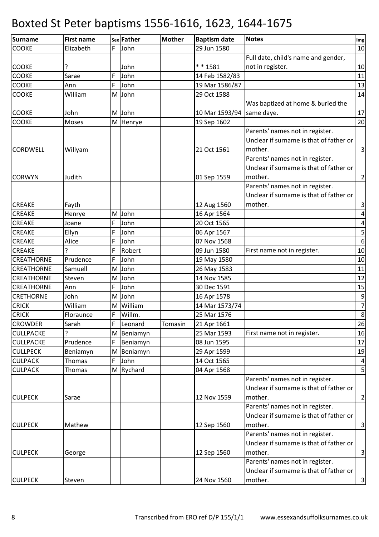| Surname          | <b>First name</b> |   | sex Father | <b>Mother</b> | <b>Baptism date</b> | <b>Notes</b>                            | Img                     |
|------------------|-------------------|---|------------|---------------|---------------------|-----------------------------------------|-------------------------|
| <b>COOKE</b>     | Elizabeth         | F | John       |               | 29 Jun 1580         |                                         | 10                      |
|                  |                   |   |            |               |                     | Full date, child's name and gender,     |                         |
| COOKE            |                   |   | John       |               | ** 1581             | not in register.                        | 10                      |
| <b>COOKE</b>     | Sarae             | F | John       |               | 14 Feb 1582/83      |                                         | 11                      |
| <b>COOKE</b>     | Ann               | F | John       |               | 19 Mar 1586/87      |                                         | 13                      |
| COOKE            | William           |   | M John     |               | 29 Oct 1588         |                                         | 14                      |
|                  |                   |   |            |               |                     | Was baptized at home & buried the       |                         |
| COOKE            | John              |   | M John     |               | 10 Mar 1593/94      | same daye.                              | 17                      |
| COOKE            | Moses             |   | M Henrye   |               | 19 Sep 1602         |                                         | 20                      |
|                  |                   |   |            |               |                     | Parents' names not in register.         |                         |
|                  |                   |   |            |               |                     | Unclear if surname is that of father or |                         |
| CORDWELL         | Willyam           |   |            |               | 21 Oct 1561         | mother.                                 | $\overline{3}$          |
|                  |                   |   |            |               |                     | Parents' names not in register.         |                         |
|                  |                   |   |            |               |                     | Unclear if surname is that of father or |                         |
| <b>CORWYN</b>    | Judith            |   |            |               | 01 Sep 1559         | mother.                                 | $\mathbf{2}$            |
|                  |                   |   |            |               |                     | Parents' names not in register.         |                         |
|                  |                   |   |            |               |                     | Unclear if surname is that of father or |                         |
| <b>CREAKE</b>    | Fayth             |   |            |               | 12 Aug 1560         | mother.                                 | $\vert$ 3               |
| <b>CREAKE</b>    | Henrye            |   | M John     |               | 16 Apr 1564         |                                         | $\vert 4 \vert$         |
| <b>CREAKE</b>    | Joane             | F | John       |               | 20 Oct 1565         |                                         | $\pmb{4}$               |
| <b>CREAKE</b>    | Ellyn             | F | John       |               | 06 Apr 1567         |                                         | $\overline{\mathbf{5}}$ |
| CREAKE           | Alice             | F | John       |               | 07 Nov 1568         |                                         | $\overline{6}$          |
| <b>CREAKE</b>    | <sub>2</sub>      | F | Robert     |               | 09 Jun 1580         | First name not in register.             | 10                      |
| CREATHORNE       | Prudence          | F | John       |               | 19 May 1580         |                                         | 10                      |
| CREATHORNE       | Samuell           | M | John       |               | 26 May 1583         |                                         | 11                      |
| CREATHORNE       | Steven            |   | M John     |               | 14 Nov 1585         |                                         | 12                      |
| CREATHORNE       | Ann               | F | John       |               | 30 Dec 1591         |                                         | 15                      |
| <b>CRETHORNE</b> | John              |   | M John     |               | 16 Apr 1578         |                                         | $\boldsymbol{9}$        |
| <b>CRICK</b>     | William           | M | William    |               | 14 Mar 1573/74      |                                         | $\overline{7}$          |
| <b>CRICK</b>     | Floraunce         | F | Willm.     |               | 25 Mar 1576         |                                         | $\bf 8$                 |
| <b>CROWDER</b>   | Sarah             | F | Leonard    | Tomasin       | 21 Apr 1661         |                                         | 26                      |
| <b>CULLPACKE</b> |                   |   | M Beniamyn |               | 25 Mar 1593         | First name not in register.             | 16                      |
| <b>CULLPACKE</b> | Prudence          | F | Beniamyn   |               | 08 Jun 1595         |                                         | 17                      |
| <b>CULLPECK</b>  | Beniamyn          |   | M Beniamyn |               | 29 Apr 1599         |                                         | 19                      |
| <b>CULPACK</b>   | Thomas            | F | John       |               | 14 Oct 1565         |                                         | $\vert$                 |
| <b>CULPACK</b>   | Thomas            |   | M Rychard  |               | 04 Apr 1568         |                                         | $\overline{\mathbf{5}}$ |
|                  |                   |   |            |               |                     | Parents' names not in register.         |                         |
|                  |                   |   |            |               |                     | Unclear if surname is that of father or |                         |
| <b>CULPECK</b>   | Sarae             |   |            |               | 12 Nov 1559         | mother.                                 | $\overline{2}$          |
|                  |                   |   |            |               |                     | Parents' names not in register.         |                         |
|                  |                   |   |            |               |                     | Unclear if surname is that of father or |                         |
| <b>CULPECK</b>   | Mathew            |   |            |               | 12 Sep 1560         | mother.                                 | $\vert$ 3               |
|                  |                   |   |            |               |                     | Parents' names not in register.         |                         |
|                  |                   |   |            |               |                     | Unclear if surname is that of father or |                         |
| <b>CULPECK</b>   | George            |   |            |               | 12 Sep 1560         | mother.                                 | $\vert$ 3               |
|                  |                   |   |            |               |                     | Parents' names not in register.         |                         |
|                  |                   |   |            |               |                     | Unclear if surname is that of father or |                         |
| <b>CULPECK</b>   | Steven            |   |            |               | 24 Nov 1560         | mother.                                 | $\overline{3}$          |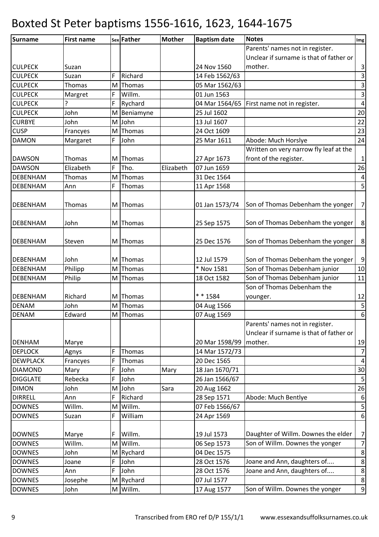| Surname         | <b>First name</b> |     | sex Father  | <b>Mother</b> | <b>Baptism date</b> | <b>Notes</b>                            | Img              |
|-----------------|-------------------|-----|-------------|---------------|---------------------|-----------------------------------------|------------------|
|                 |                   |     |             |               |                     | Parents' names not in register.         |                  |
|                 |                   |     |             |               |                     | Unclear if surname is that of father or |                  |
| <b>CULPECK</b>  | Suzan             |     |             |               | 24 Nov 1560         | mother.                                 | $\mathbf{3}$     |
| <b>CULPECK</b>  | Suzan             | F   | Richard     |               | 14 Feb 1562/63      |                                         | $\mathsf{3}$     |
| <b>CULPECK</b>  | Thomas            | M.  | Thomas      |               | 05 Mar 1562/63      |                                         | س                |
| <b>CULPECK</b>  | Margret           | F   | Willm.      |               | 01 Jun 1563         |                                         | $\mathsf{3}$     |
| <b>CULPECK</b>  | ?                 | F   | Rychard     |               | 04 Mar 1564/65      | First name not in register.             | $\overline{4}$   |
| <b>CULPECK</b>  | John              |     | M Beniamyne |               | 25 Jul 1602         |                                         | 20               |
| <b>CURBYE</b>   | John              | M l | John        |               | 13 Jul 1607         |                                         | 22               |
| <b>CUSP</b>     | Francyes          | M.  | Thomas      |               | 24 Oct 1609         |                                         | 23               |
| <b>DAMON</b>    | Margaret          | F   | John        |               | 25 Mar 1611         | Abode: Much Horslye                     | 24               |
|                 |                   |     |             |               |                     | Written on very narrow fly leaf at the  |                  |
| <b>DAWSON</b>   | Thomas            |     | M Thomas    |               | 27 Apr 1673         | front of the register.                  | $\mathbf{1}$     |
| <b>DAWSON</b>   | Elizabeth         | F   | Tho.        | Elizabeth     | 07 Jun 1659         |                                         | 26               |
| <b>DEBENHAM</b> | Thomas            | M   | Thomas      |               | 31 Dec 1564         |                                         | $\pmb{4}$        |
| DEBENHAM        | Ann               | F   | Thomas      |               | 11 Apr 1568         |                                         | 5                |
|                 |                   |     |             |               |                     |                                         |                  |
| <b>DEBENHAM</b> | Thomas            |     | M Thomas    |               | 01 Jan 1573/74      | Son of Thomas Debenham the yonger       | $\overline{7}$   |
|                 |                   |     |             |               |                     |                                         |                  |
| <b>DEBENHAM</b> | John              |     | M Thomas    |               | 25 Sep 1575         | Son of Thomas Debenham the yonger       | $\bf 8$          |
|                 |                   |     |             |               |                     |                                         |                  |
| <b>DEBENHAM</b> | Steven            |     | M Thomas    |               | 25 Dec 1576         | Son of Thomas Debenham the yonger       | 8                |
|                 |                   |     |             |               |                     |                                         |                  |
| DEBENHAM        | John              |     | M Thomas    |               | 12 Jul 1579         | Son of Thomas Debenham the yonger       | $\boldsymbol{9}$ |
| <b>DEBENHAM</b> | Philipp           |     | M Thomas    |               | * Nov 1581          | Son of Thomas Debenham junior           | 10               |
| DEBENHAM        | Philip            | M   | Thomas      |               | 18 Oct 1582         | Son of Thomas Debenham junior           | 11               |
|                 |                   |     |             |               |                     | Son of Thomas Debenham the              |                  |
| DEBENHAM        | Richard           |     | M Thomas    |               | ** 1584             | younger.                                | 12               |
| <b>DENAM</b>    | John              | МI  | Thomas      |               | 04 Aug 1566         |                                         |                  |
| <b>DENAM</b>    | Edward            |     | M Thomas    |               | 07 Aug 1569         |                                         | $\frac{5}{6}$    |
|                 |                   |     |             |               |                     | Parents' names not in register.         |                  |
|                 |                   |     |             |               |                     | Unclear if surname is that of father or |                  |
| <b>DENHAM</b>   | Marye             |     |             |               | 20 Mar 1598/99      | mother.                                 | 19               |
| <b>DEPLOCK</b>  | Agnys             | F   | Thomas      |               | 14 Mar 1572/73      |                                         | $\overline{7}$   |
| <b>DEWPLACK</b> | Francyes          | F   | Thomas      |               | 20 Dec 1565         |                                         | $\pmb{4}$        |
| <b>DIAMOND</b>  | Mary              | F   | John        | Mary          | 18 Jan 1670/71      |                                         | 30               |
| <b>DIGGLATE</b> | Rebecka           | F   | John        |               | 26 Jan 1566/67      |                                         | $\mathsf S$      |
| <b>DIMON</b>    | John              |     | M John      | Sara          | 20 Aug 1662         |                                         | 26               |
| <b>DIRRELL</b>  | Ann               | F   | Richard     |               | 28 Sep 1571         | Abode: Much Bentlye                     | 6                |
| <b>DOWNES</b>   | Willm.            | M   | Willm.      |               | 07 Feb 1566/67      |                                         | $\mathsf S$      |
| <b>DOWNES</b>   | Suzan             | F   | William     |               | 24 Apr 1569         |                                         | $\boldsymbol{6}$ |
|                 |                   |     |             |               |                     |                                         |                  |
| <b>DOWNES</b>   | Marye             | F   | Willm.      |               | 19 Jul 1573         | Daughter of Willm. Downes the elder     | $\overline{7}$   |
| <b>DOWNES</b>   | Willm.            | M   | Willm.      |               | 06 Sep 1573         | Son of Willm. Downes the yonger         | 7                |
| <b>DOWNES</b>   | John              |     | M Rychard   |               | 04 Dec 1575         |                                         | $\bf 8$          |
| <b>DOWNES</b>   | Joane             | F   | John        |               | 28 Oct 1576         | Joane and Ann, daughters of             | $\bf 8$          |
| <b>DOWNES</b>   | Ann               | F   | John        |               | 28 Oct 1576         | Joane and Ann, daughters of             | $\bf 8$          |
| <b>DOWNES</b>   | Josephe           |     | M Rychard   |               | 07 Jul 1577         |                                         | $\bf 8$          |
| <b>DOWNES</b>   | John              |     | M Willm.    |               | 17 Aug 1577         | Son of Willm. Downes the yonger         | $\overline{9}$   |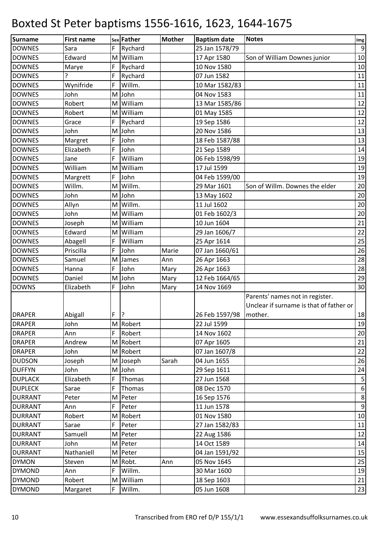| Surname        | <b>First name</b> |   | sex Father   | <b>Mother</b> | <b>Baptism date</b> | <b>Notes</b>                            | Img                     |
|----------------|-------------------|---|--------------|---------------|---------------------|-----------------------------------------|-------------------------|
| <b>DOWNES</b>  | Sara              | F | Rychard      |               | 25 Jan 1578/79      |                                         | $\overline{9}$          |
| <b>DOWNES</b>  | Edward            | M | William      |               | 17 Apr 1580         | Son of William Downes junior            | 10                      |
| <b>DOWNES</b>  | Marye             | F | Rychard      |               | 10 Nov 1580         |                                         | 10                      |
| <b>DOWNES</b>  | ŗ                 | F | Rychard      |               | 07 Jun 1582         |                                         | 11                      |
| <b>DOWNES</b>  | Wynifride         | F | Willm.       |               | 10 Mar 1582/83      |                                         | 11                      |
| <b>DOWNES</b>  | John              |   | M John       |               | 04 Nov 1583         |                                         | $11\,$                  |
| <b>DOWNES</b>  | Robert            | M | William      |               | 13 Mar 1585/86      |                                         | 12                      |
| <b>DOWNES</b>  | Robert            | M | William      |               | 01 May 1585         |                                         | 12                      |
| <b>DOWNES</b>  | Grace             | F | Rychard      |               | 19 Sep 1586         |                                         | 12                      |
| <b>DOWNES</b>  | John              |   | M John       |               | 20 Nov 1586         |                                         | 13                      |
| <b>DOWNES</b>  | Margret           | F | John         |               | 18 Feb 1587/88      |                                         | 13                      |
| <b>DOWNES</b>  | Elizabeth         | F | John         |               | 21 Sep 1589         |                                         | 14                      |
| <b>DOWNES</b>  | Jane              | F | William      |               | 06 Feb 1598/99      |                                         | 19                      |
| <b>DOWNES</b>  | William           | M | William      |               | 17 Jul 1599         |                                         | 19                      |
| <b>DOWNES</b>  | Margrett          | F | John         |               | 04 Feb 1599/00      |                                         | 19                      |
| <b>DOWNES</b>  | Willm.            | M | Willm.       |               | 29 Mar 1601         | Son of Willm. Downes the elder          | 20                      |
| <b>DOWNES</b>  | John              | M | John         |               | 13 May 1602         |                                         | 20                      |
| <b>DOWNES</b>  | Allyn             |   | M Willm.     |               | 11 Jul 1602         |                                         | 20                      |
| <b>DOWNES</b>  | John              | M | William      |               | 01 Feb 1602/3       |                                         | 20                      |
| <b>DOWNES</b>  | Joseph            | M | William      |               | 10 Jun 1604         |                                         | 21                      |
| <b>DOWNES</b>  | Edward            | M | William      |               | 29 Jan 1606/7       |                                         | 22                      |
| <b>DOWNES</b>  | Abagell           | F | William      |               | 25 Apr 1614         |                                         | 25                      |
| <b>DOWNES</b>  | Priscilla         | F | John         | Marie         | 07 Jan 1660/61      |                                         | 26                      |
| <b>DOWNES</b>  | Samuel            | M | <b>James</b> | Ann           | 26 Apr 1663         |                                         | 28                      |
| <b>DOWNES</b>  | Hanna             | F | John         | Mary          | 26 Apr 1663         |                                         | 28                      |
| <b>DOWNES</b>  | Daniel            |   | M John       | Mary          | 12 Feb 1664/65      |                                         | 29                      |
| <b>DOWNS</b>   | Elizabeth         | F | John         | Mary          | 14 Nov 1669         |                                         | 30                      |
|                |                   |   |              |               |                     | Parents' names not in register.         |                         |
|                |                   |   |              |               |                     | Unclear if surname is that of father or |                         |
| <b>DRAPER</b>  | Abigall           | F | ?            |               | 26 Feb 1597/98      | mother.                                 | 18                      |
| <b>DRAPER</b>  | John              |   | M Robert     |               | 22 Jul 1599         |                                         | 19                      |
| <b>DRAPER</b>  | Ann               | F | Robert       |               | 14 Nov 1602         |                                         | 20                      |
| <b>DRAPER</b>  | Andrew            |   | M Robert     |               | 07 Apr 1605         |                                         | 21                      |
| <b>DRAPER</b>  | John              |   | M Robert     |               | 07 Jan 1607/8       |                                         | 22                      |
| <b>DUDSON</b>  | Joseph            |   | M Joseph     | Sarah         | 04 Jun 1655         |                                         | 26                      |
| <b>DUFFYN</b>  | John              |   | M John       |               | 29 Sep 1611         |                                         | 24                      |
| <b>DUPLACK</b> | Elizabeth         | F | Thomas       |               | 27 Jun 1568         |                                         | $\overline{\mathbf{5}}$ |
| <b>DUPLECK</b> | Sarae             | F | Thomas       |               | 08 Dec 1570         |                                         | 6                       |
| <b>DURRANT</b> | Peter             |   | M Peter      |               | 16 Sep 1576         |                                         | $\,8\,$                 |
| <b>DURRANT</b> | Ann               | F | Peter        |               | 11 Jun 1578         |                                         | $\boldsymbol{9}$        |
| <b>DURRANT</b> | Robert            | M | Robert       |               | 01 Nov 1580         |                                         | 10                      |
| <b>DURRANT</b> | Sarae             | F | Peter        |               | 27 Jan 1582/83      |                                         | 11                      |
| <b>DURRANT</b> | Samuell           |   | M Peter      |               | 22 Aug 1586         |                                         | 12                      |
| <b>DURRANT</b> | John              |   | M Peter      |               | 14 Oct 1589         |                                         | 14                      |
| <b>DURRANT</b> | Nathaniell        |   | M Peter      |               | 04 Jan 1591/92      |                                         | 15                      |
| <b>DYMON</b>   | Steven            | M | Robt.        | Ann           | 05 Nov 1645         |                                         | 25                      |
| <b>DYMOND</b>  | Ann               | F | Willm.       |               | 30 Mar 1600         |                                         | 19                      |
| <b>DYMOND</b>  | Robert            |   | M William    |               | 18 Sep 1603         |                                         | 21                      |
| <b>DYMOND</b>  | Margaret          | F | Willm.       |               | 05 Jun 1608         |                                         | 23                      |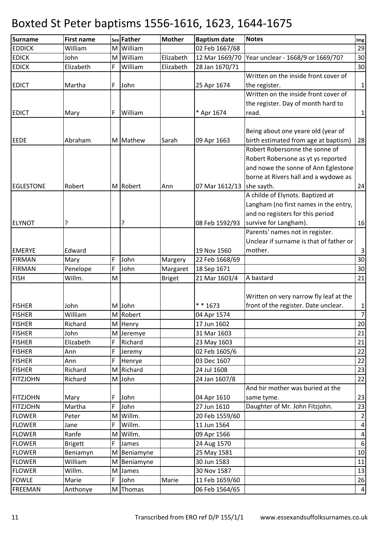| <b>Surname</b>   | <b>First name</b> |   | sex Father  | <b>Mother</b> | <b>Baptism date</b> | <b>Notes</b>                            | Img                     |
|------------------|-------------------|---|-------------|---------------|---------------------|-----------------------------------------|-------------------------|
| <b>EDDICK</b>    | William           |   | M William   |               | 02 Feb 1667/68      |                                         | 29                      |
| <b>EDICK</b>     | John              | M | William     | Elizabeth     | 12 Mar 1669/70      | Year unclear - 1668/9 or 1669/70?       | 30                      |
| <b>EDICK</b>     | Elizabeth         | F | William     | Elizabeth     | 28 Jan 1670/71      |                                         | 30                      |
|                  |                   |   |             |               |                     | Written on the inside front cover of    |                         |
| <b>EDICT</b>     | Martha            | F | John        |               | 25 Apr 1674         | the register.                           | $\mathbf{1}$            |
|                  |                   |   |             |               |                     | Written on the inside front cover of    |                         |
|                  |                   |   |             |               |                     | the register. Day of month hard to      |                         |
| <b>EDICT</b>     | Mary              | F | William     |               | * Apr 1674          | read.                                   | $\mathbf 1$             |
|                  |                   |   |             |               |                     |                                         |                         |
|                  |                   |   |             |               |                     | Being about one yeare old (year of      |                         |
| <b>EEDE</b>      | Abraham           |   | M Mathew    | Sarah         | 09 Apr 1663         | birth estimated from age at baptism)    | 28                      |
|                  |                   |   |             |               |                     | Robert Robersonne the sonne of          |                         |
|                  |                   |   |             |               |                     | Robert Robersone as yt ys reported      |                         |
|                  |                   |   |             |               |                     | and nowe the sonne of Ann Eglestone     |                         |
|                  |                   |   |             |               |                     | borne at Rivers hall and a wydowe as    |                         |
| <b>EGLESTONE</b> | Robert            |   | M Robert    | Ann           | 07 Mar 1612/13      | she sayth.                              | 24                      |
|                  |                   |   |             |               |                     | A childe of Elynots. Baptized at        |                         |
|                  |                   |   |             |               |                     | Langham (no first names in the entry,   |                         |
|                  |                   |   |             |               |                     | and no registers for this period        |                         |
| <b>ELYNOT</b>    |                   |   | ?           |               | 08 Feb 1592/93      | survive for Langham).                   | 16                      |
|                  |                   |   |             |               |                     | Parents' names not in register.         |                         |
|                  |                   |   |             |               |                     | Unclear if surname is that of father or |                         |
| <b>EMERYE</b>    | Edward            |   |             |               | 19 Nov 1560         | mother.                                 | $\mathbf{3}$            |
| <b>FIRMAN</b>    | Mary              | F | John        | Margery       | 22 Feb 1668/69      |                                         | 30                      |
| <b>FIRMAN</b>    | Penelope          | F | John        | Margaret      | 18 Sep 1671         |                                         | 30                      |
| <b>FISH</b>      | Willm.            | M |             | <b>Briget</b> | 21 Mar 1603/4       | A bastard                               | 21                      |
|                  |                   |   |             |               |                     |                                         |                         |
|                  |                   |   |             |               |                     | Written on very narrow fly leaf at the  |                         |
| <b>FISHER</b>    | John              |   | M John      |               | * * 1673            | front of the register. Date unclear.    | $\mathbf{1}$            |
| <b>FISHER</b>    | William           |   | M Robert    |               | 04 Apr 1574         |                                         | $\overline{7}$          |
| <b>FISHER</b>    | Richard           |   | M Henry     |               | 17 Jun 1602         |                                         | 20                      |
| <b>FISHER</b>    | John              |   | M Jeremye   |               | 31 Mar 1603         |                                         | 21                      |
| <b>FISHER</b>    | Elizabeth         | F | Richard     |               | 23 May 1603         |                                         | 21                      |
| <b>FISHER</b>    | Ann               | F | Jeremy      |               | 02 Feb 1605/6       |                                         | 22                      |
| <b>FISHER</b>    | Ann               | F | Henrye      |               | 03 Dec 1607         |                                         | 22                      |
| <b>FISHER</b>    | Richard           |   | M Richard   |               | 24 Jul 1608         |                                         | 23                      |
| <b>FITZJOHN</b>  | Richard           |   | M John      |               | 24 Jan 1607/8       |                                         | 22                      |
|                  |                   |   |             |               |                     | And hir mother was buried at the        |                         |
| <b>FITZJOHN</b>  | Mary              | F | John        |               | 04 Apr 1610         | same tyme.                              | 23                      |
| <b>FITZJOHN</b>  | Martha            | F | John        |               | 27 Jun 1610         | Daughter of Mr. John Fitzjohn.          | 23                      |
| <b>FLOWER</b>    | Peter             |   | M Willm.    |               | 20 Feb 1559/60      |                                         | $\overline{2}$          |
| <b>FLOWER</b>    | Jane              | F | Willm.      |               | 11 Jun 1564         |                                         | $\pmb{4}$               |
| <b>FLOWER</b>    | Ranfe             | M | Willm.      |               | 09 Apr 1566         |                                         | $\overline{\mathbf{4}}$ |
| <b>FLOWER</b>    | <b>Brigett</b>    | F | James       |               | 24 Aug 1570         |                                         | $6\,$                   |
| <b>FLOWER</b>    | Beniamyn          | М | Beniamyne   |               | 25 May 1581         |                                         | 10                      |
| <b>FLOWER</b>    | William           |   | M Beniamyne |               | 30 Jun 1583         |                                         | 11                      |
| <b>FLOWER</b>    | Willm.            |   | M James     |               | 30 Nov 1587         |                                         | 13                      |
| <b>FOWLE</b>     | Marie             | F | John        | Marie         | 11 Feb 1659/60      |                                         | 26                      |
| <b>FREEMAN</b>   | Anthonye          |   | M Thomas    |               | 06 Feb 1564/65      |                                         | $\overline{a}$          |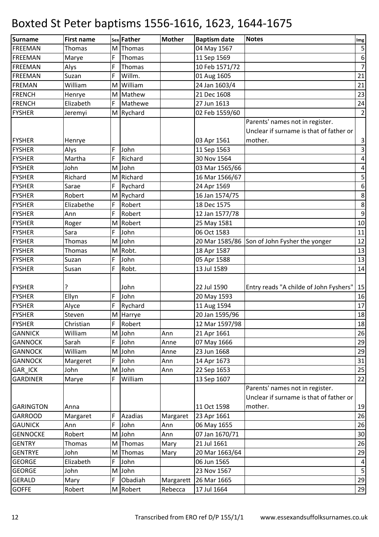| Surname          | <b>First name</b> |     | sex Father | <b>Mother</b> | <b>Baptism date</b> | <b>Notes</b>                            | $\mathop{\textsf{Img}}$ |
|------------------|-------------------|-----|------------|---------------|---------------------|-----------------------------------------|-------------------------|
| <b>FREEMAN</b>   | Thomas            | M l | Thomas     |               | 04 May 1567         |                                         | $\sf 5$                 |
| <b>FREEMAN</b>   | Marye             | F   | Thomas     |               | 11 Sep 1569         |                                         | $\boldsymbol{6}$        |
| <b>FREEMAN</b>   | Alys              | F   | Thomas     |               | 10 Feb 1571/72      |                                         | $\overline{7}$          |
| FREEMAN          | Suzan             | F   | Willm.     |               | 01 Aug 1605         |                                         | 21                      |
| <b>FREMAN</b>    | William           | M   | William    |               | 24 Jan 1603/4       |                                         | 21                      |
| <b>FRENCH</b>    | Henrye            |     | M Mathew   |               | 21 Dec 1608         |                                         | 23                      |
| <b>FRENCH</b>    | Elizabeth         | F   | Mathewe    |               | 27 Jun 1613         |                                         | 24                      |
| <b>FYSHER</b>    | Jeremyi           |     | M Rychard  |               | 02 Feb 1559/60      |                                         | $\overline{2}$          |
|                  |                   |     |            |               |                     | Parents' names not in register.         |                         |
|                  |                   |     |            |               |                     | Unclear if surname is that of father or |                         |
| <b>FYSHER</b>    | Henrye            |     |            |               | 03 Apr 1561         | mother.                                 | $\mathbf{3}$            |
| <b>FYSHER</b>    | Alys              | F   | John       |               | 11 Sep 1563         |                                         | $\overline{\mathbf{3}}$ |
| <b>FYSHER</b>    | Martha            | F   | Richard    |               | 30 Nov 1564         |                                         | $\pmb{4}$               |
| <b>FYSHER</b>    | John              | M   | John       |               | 03 Mar 1565/66      |                                         | $\pmb{4}$               |
| <b>FYSHER</b>    | Richard           |     | M Richard  |               | 16 Mar 1566/67      |                                         | $\mathsf S$             |
| <b>FYSHER</b>    | Sarae             | F   | Rychard    |               | 24 Apr 1569         |                                         | $\boldsymbol{6}$        |
| <b>FYSHER</b>    | Robert            |     | M Rychard  |               | 16 Jan 1574/75      |                                         | $\bf 8$                 |
| <b>FYSHER</b>    | Elizabethe        | F   | Robert     |               | 18 Dec 1575         |                                         | $\bf 8$                 |
| <b>FYSHER</b>    | Ann               | F   | Robert     |               | 12 Jan 1577/78      |                                         | $\boldsymbol{9}$        |
| <b>FYSHER</b>    | Roger             | M   | Robert     |               | 25 May 1581         |                                         | 10                      |
| <b>FYSHER</b>    | Sara              | F   | John       |               | 06 Oct 1583         |                                         | 11                      |
| <b>FYSHER</b>    | Thomas            | M   | John       |               | 20 Mar 1585/86      | Son of John Fysher the yonger           | 12                      |
| <b>FYSHER</b>    | Thomas            | M   | Robt.      |               | 18 Apr 1587         |                                         | 13                      |
| <b>FYSHER</b>    | Suzan             | F   | John       |               | 05 Apr 1588         |                                         | 13                      |
| <b>FYSHER</b>    | Susan             | F   | Robt.      |               | 13 Jul 1589         |                                         | 14                      |
|                  |                   |     |            |               |                     |                                         |                         |
| <b>FYSHER</b>    | ?                 |     | John       |               | 22 Jul 1590         | Entry reads "A childe of John Fyshers"  | 15                      |
| <b>FYSHER</b>    | Ellyn             | F   | John       |               | 20 May 1593         |                                         | 16                      |
| <b>FYSHER</b>    | Alyce             | F   | Rychard    |               | 11 Aug 1594         |                                         | 17                      |
| <b>FYSHER</b>    | Steven            |     | M Harrye   |               | 20 Jan 1595/96      |                                         | 18                      |
| <b>FYSHER</b>    | Christian         | F   | Robert     |               | 12 Mar 1597/98      |                                         | 18                      |
| <b>GANNICK</b>   | William           | M   | John       | Ann           | 21 Apr 1661         |                                         | 26                      |
| <b>GANNOCK</b>   | Sarah             | F   | John       | Anne          | 07 May 1666         |                                         | 29                      |
| <b>GANNOCK</b>   | William           | M   | John       | Anne          | 23 Jun 1668         |                                         | 29                      |
| <b>GANNOCK</b>   | Margeret          | F   | John       | Ann           | 14 Apr 1673         |                                         | 31                      |
| GAR_ICK          | John              | M   | John       | Ann           | 22 Sep 1653         |                                         | 25                      |
| <b>GARDINER</b>  | Marye             | F   | William    |               | 13 Sep 1607         |                                         | 22                      |
|                  |                   |     |            |               |                     | Parents' names not in register.         |                         |
|                  |                   |     |            |               |                     | Unclear if surname is that of father or |                         |
| <b>GARINGTON</b> | Anna              |     |            |               | 11 Oct 1598         | mother.                                 | 19                      |
| <b>GARROOD</b>   | Margaret          | F   | Azadias    | Margaret      | 23 Apr 1661         |                                         | 26                      |
| <b>GAUNICK</b>   | Ann               | F   | John       | Ann           | 06 May 1655         |                                         | 26                      |
| <b>GENNOCKE</b>  | Robert            |     | M John     | Ann           | 07 Jan 1670/71      |                                         | 30                      |
| <b>GENTRY</b>    | Thomas            | M l | Thomas     | Mary          | 21 Jul 1661         |                                         | 26                      |
| <b>GENTRYE</b>   | John              | M.  | Thomas     | Mary          | 20 Mar 1663/64      |                                         | 29                      |
| <b>GEORGE</b>    | Elizabeth         | F   | John       |               | 06 Jun 1565         |                                         | $\overline{a}$          |
| <b>GEORGE</b>    | John              |     | M John     |               | 23 Nov 1567         |                                         | $\mathsf S$             |
| <b>GERALD</b>    | Mary              | F   | Obadiah    | Margarett     | 26 Mar 1665         |                                         | 29                      |
| <b>GOFFE</b>     | Robert            |     | M Robert   | Rebecca       | 17 Jul 1664         |                                         | 29                      |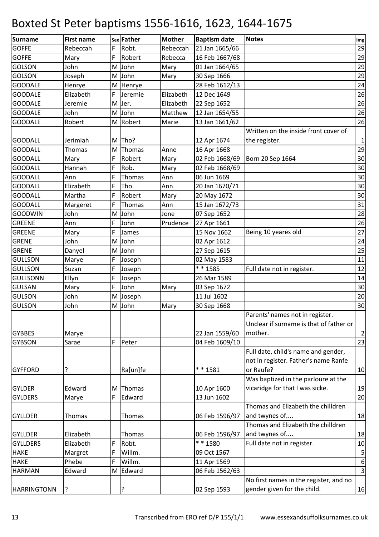| <b>Surname</b>     | <b>First name</b> |   | sex Father | <b>Mother</b> | <b>Baptism date</b> | <b>Notes</b>                            | Img              |
|--------------------|-------------------|---|------------|---------------|---------------------|-----------------------------------------|------------------|
| <b>GOFFE</b>       | Rebeccah          | F | Robt.      | Rebeccah      | 21 Jan 1665/66      |                                         | 29               |
| <b>GOFFE</b>       | Mary              | F | Robert     | Rebecca       | 16 Feb 1667/68      |                                         | 29               |
| <b>GOLSON</b>      | John              | M | John       | Mary          | 01 Jan 1664/65      |                                         | 29               |
| <b>GOLSON</b>      | Joseph            | M | John       | Mary          | 30 Sep 1666         |                                         | 29               |
| <b>GOODALE</b>     | Henrye            | M | Henrye     |               | 28 Feb 1612/13      |                                         | 24               |
| <b>GOODALE</b>     | Elizabeth         | F | Jeremie    | Elizabeth     | 12 Dec 1649         |                                         | 26               |
| <b>GOODALE</b>     | Jeremie           | M | Jer.       | Elizabeth     | 22 Sep 1652         |                                         | 26               |
| <b>GOODALE</b>     | John              |   | M John     | Matthew       | 12 Jan 1654/55      |                                         | 26               |
| <b>GOODALE</b>     | Robert            |   | M Robert   | Marie         | 13 Jan 1661/62      |                                         | 26               |
|                    |                   |   |            |               |                     | Written on the inside front cover of    |                  |
| <b>GOODALL</b>     | Jerimiah          |   | M Tho?     |               | 12 Apr 1674         | the register.                           | $\mathbf{1}$     |
| <b>GOODALL</b>     | Thomas            | M | Thomas     | Anne          | 16 Apr 1668         |                                         | 29               |
| <b>GOODALL</b>     | Mary              | F | Robert     | Mary          | 02 Feb 1668/69      | Born 20 Sep 1664                        | 30               |
| <b>GOODALL</b>     | Hannah            | F | Rob.       | Mary          | 02 Feb 1668/69      |                                         | 30               |
| <b>GOODALL</b>     | Ann               | F | Thomas     | Ann           | 06 Jun 1669         |                                         | 30               |
| <b>GOODALL</b>     | Elizabeth         | F | Tho.       | Ann           | 20 Jan 1670/71      |                                         | 30               |
| <b>GOODALL</b>     | Martha            | F | Robert     | Mary          | 20 May 1672         |                                         | 30               |
| <b>GOODALL</b>     | Margeret          | F | Thomas     | Ann           | 15 Jan 1672/73      |                                         | 31               |
| <b>GOODWIN</b>     | John              | M | John       | Jone          | 07 Sep 1652         |                                         | 28               |
| <b>GREENE</b>      | Ann               | F | John       | Prudence      | 27 Apr 1661         |                                         | 26               |
| <b>GREENE</b>      | Mary              | F | James      |               | 15 Nov 1662         | Being 10 yeares old                     | 27               |
| <b>GRENE</b>       | John              | M | John       |               | 02 Apr 1612         |                                         | 24               |
| <b>GRENE</b>       | Danyel            |   | M John     |               | 27 Sep 1615         |                                         | 25               |
| <b>GULLSON</b>     | Marye             | F | Joseph     |               | 02 May 1583         |                                         | 11               |
| <b>GULLSON</b>     | Suzan             | F | Joseph     |               | * * 1585            | Full date not in register.              | 12               |
| <b>GULLSONN</b>    | Ellyn             | F | Joseph     |               | 26 Mar 1589         |                                         | 14               |
| <b>GULSAN</b>      | Mary              | F | John       | Mary          | 03 Sep 1672         |                                         | 30               |
| <b>GULSON</b>      | John              |   | M Joseph   |               | 11 Jul 1602         |                                         | 20               |
| <b>GULSON</b>      | John              | M | John       | Mary          | 30 Sep 1668         |                                         | 30               |
|                    |                   |   |            |               |                     | Parents' names not in register.         |                  |
|                    |                   |   |            |               |                     | Unclear if surname is that of father or |                  |
| <b>GYBBES</b>      | Marye             |   |            |               | 22 Jan 1559/60      | mother.                                 | $\mathbf{2}$     |
| <b>GYBSON</b>      | Sarae             | F | Peter      |               | 04 Feb 1609/10      |                                         | 23               |
|                    |                   |   |            |               |                     | Full date, child's name and gender,     |                  |
|                    |                   |   |            |               |                     | not in register. Father's name Ranfe    |                  |
| <b>GYFFORD</b>     | ?                 |   | Ra[un]fe   |               | ** 1581             | or Raufe?                               | 10               |
|                    |                   |   |            |               |                     | Was baptized in the parloure at the     |                  |
| <b>GYLDER</b>      | Edward            |   | M Thomas   |               | 10 Apr 1600         | vicaridge for that I was sicke.         | 19               |
| <b>GYLDERS</b>     | Marye             | F | Edward     |               | 13 Jun 1602         |                                         | 20               |
|                    |                   |   |            |               |                     | Thomas and Elizabeth the chilldren      |                  |
| <b>GYLLDER</b>     | Thomas            |   | Thomas     |               | 06 Feb 1596/97      | and twynes of                           | 18               |
|                    |                   |   |            |               |                     | Thomas and Elizabeth the chilldren      |                  |
| <b>GYLLDER</b>     | Elizabeth         |   | Thomas     |               | 06 Feb 1596/97      | and twynes of                           | 18               |
| <b>GYLLDERS</b>    | Elizabeth         | F | Robt.      |               | ** 1580             | Full date not in register.              | 10               |
| <b>HAKE</b>        | Margret           | F | Willm.     |               | 09 Oct 1567         |                                         | $\sf 5$          |
| <b>HAKE</b>        | Phebe             | F | Willm.     |               | 11 Apr 1569         |                                         | $\boldsymbol{6}$ |
| <b>HARMAN</b>      | Edward            |   | M Edward   |               | 06 Feb 1562/63      |                                         | $\overline{3}$   |
|                    |                   |   |            |               |                     | No first names in the register, and no  |                  |
| <b>HARRINGTONN</b> | ?                 |   | ?          |               | 02 Sep 1593         | gender given for the child.             | 16               |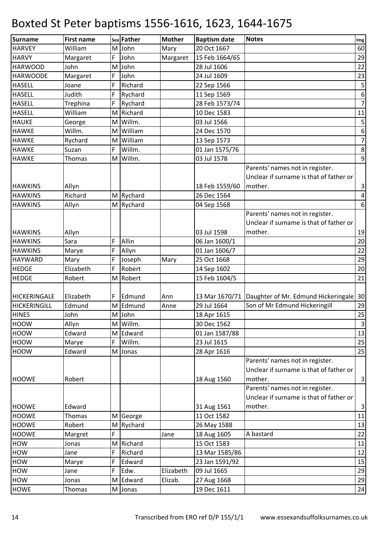| Surname             | <b>First name</b> |     | sex Father | <b>Mother</b> | <b>Baptism date</b> | <b>Notes</b>                                          | $\mathop{\textsf{Img}}$ |
|---------------------|-------------------|-----|------------|---------------|---------------------|-------------------------------------------------------|-------------------------|
| <b>HARVEY</b>       | William           | M l | John       | Mary          | 20 Oct 1667         |                                                       | 60                      |
| <b>HARVY</b>        | Margaret          | F   | John       | Margaret      | 15 Feb 1664/65      |                                                       | 29                      |
| <b>HARWOOD</b>      | John              |     | M John     |               | 28 Jul 1606         |                                                       | 22                      |
| <b>HARWOODE</b>     | Margaret          | F   | John       |               | 24 Jul 1609         |                                                       | 23                      |
| <b>HASELL</b>       | Joane             | F   | Richard    |               | 22 Sep 1566         |                                                       | $\mathsf S$             |
| <b>HASELL</b>       | Judith            | F   | Rychard    |               | 11 Sep 1569         |                                                       | $\boldsymbol{6}$        |
| <b>HASELL</b>       | Trephina          | F   | Rychard    |               | 28 Feb 1573/74      |                                                       | $\overline{7}$          |
| <b>HASELL</b>       | William           |     | M Richard  |               | 10 Dec 1583         |                                                       | $11\,$                  |
| <b>HAUKE</b>        | George            | M   | Willm.     |               | 03 Jul 1566         |                                                       | 5                       |
| <b>HAWKE</b>        | Willm.            | M   | William    |               | 24 Dec 1570         |                                                       | $\boldsymbol{6}$        |
| <b>HAWKE</b>        | Rychard           | M   | William    |               | 13 Sep 1573         |                                                       | $\overline{z}$          |
| <b>HAWKE</b>        | Suzan             | F   | Willm.     |               | 01 Jan 1575/76      |                                                       | $\bf 8$                 |
| <b>HAWKE</b>        | Thomas            |     | M Willm.   |               | 03 Jul 1578         |                                                       | $\overline{9}$          |
|                     |                   |     |            |               |                     | Parents' names not in register.                       |                         |
|                     |                   |     |            |               |                     | Unclear if surname is that of father or               |                         |
| <b>HAWKINS</b>      | Allyn             |     |            |               | 18 Feb 1559/60      | mother.                                               | $\mathbf{3}$            |
| <b>HAWKINS</b>      | Richard           |     | M Rychard  |               | 26 Dec 1564         |                                                       | $\vert 4 \vert$         |
| <b>HAWKINS</b>      | Allyn             |     | M Rychard  |               | 04 Sep 1568         |                                                       | $\boldsymbol{6}$        |
|                     |                   |     |            |               |                     | Parents' names not in register.                       |                         |
|                     |                   |     |            |               |                     | Unclear if surname is that of father or               |                         |
| <b>HAWKINS</b>      | Allyn             |     |            |               | 03 Jul 1598         | mother.                                               | 19                      |
| <b>HAWKINS</b>      | Sara              | F   | Allin      |               | 06 Jan 1600/1       |                                                       | 20                      |
| <b>HAWKINS</b>      | Marye             | F   | Allyn      |               | 01 Jan 1606/7       |                                                       | 22                      |
| <b>HAYWARD</b>      | Mary              | F   | Joseph     | Mary          | 25 Oct 1668         |                                                       | 29                      |
| <b>HEDGE</b>        | Elizabeth         | F   | Robert     |               | 14 Sep 1602         |                                                       | 20                      |
| <b>HEDGE</b>        | Robert            |     | M Robert   |               | 15 Feb 1604/5       |                                                       | 21                      |
|                     |                   |     |            |               |                     |                                                       |                         |
| <b>HICKERINGALE</b> | Elizabeth         | F   | Edmund     | Ann           |                     | 13 Mar 1670/71 Daughter of Mr. Edmund Hickeringale 30 |                         |
| HICKERINGILL        | Edmund            |     | M Edmund   | Anne          | 29 Jul 1664         | Son of Mr Edmund Hickeringill                         | 29                      |
| <b>HINES</b>        | John              |     | M John     |               | 18 Apr 1615         |                                                       | 25                      |
| <b>HOOW</b>         | Allyn             |     | M Willm.   |               | 30 Dec 1562         |                                                       | $\mathsf 3$             |
| <b>HOOW</b>         | Edward            |     | M Edward   |               | 01 Jan 1587/88      |                                                       | 13                      |
| <b>HOOW</b>         | Marye             | F   | Willm.     |               | 23 Jul 1615         |                                                       | 25                      |
| HOOW                | Edward            | M   | Jonas      |               | 28 Apr 1616         |                                                       | 25                      |
|                     |                   |     |            |               |                     | Parents' names not in register.                       |                         |
|                     |                   |     |            |               |                     | Unclear if surname is that of father or               |                         |
| <b>HOOWE</b>        | Robert            |     |            |               | 18 Aug 1560         | mother.                                               | $\overline{3}$          |
|                     |                   |     |            |               |                     | Parents' names not in register.                       |                         |
|                     |                   |     |            |               |                     | Unclear if surname is that of father or               |                         |
| <b>HOOWE</b>        | Edward            |     |            |               | 31 Aug 1561         | mother.                                               | $\mathbf{3}$            |
| <b>HOOWE</b>        | Thomas            |     | M George   |               | 11 Oct 1582         |                                                       | 11                      |
| <b>HOOWE</b>        | Robert            |     | M Rychard  |               | 26 May 1588         |                                                       | 13                      |
| <b>HOOWE</b>        | Margret           | F   |            | Jane          | 18 Aug 1605         | A bastard                                             | 22                      |
| HOW                 | Jonas             | M   | Richard    |               | 15 Oct 1583         |                                                       | 11                      |
| HOW                 | Jane              | F   | Richard    |               | 13 Mar 1585/86      |                                                       | 12                      |
| HOW                 | Marye             | F   | Edward     |               | 23 Jan 1591/92      |                                                       | 15                      |
| HOW                 | Jane              | F   | Edw.       | Elizabeth     | 09 Jul 1665         |                                                       | 29                      |
| HOW                 | Jonas             |     | M Edward   | Elizab.       | 27 Aug 1668         |                                                       | 29                      |
| <b>HOWE</b>         | Thomas            |     | M Jonas    |               | 19 Dec 1611         |                                                       | 24                      |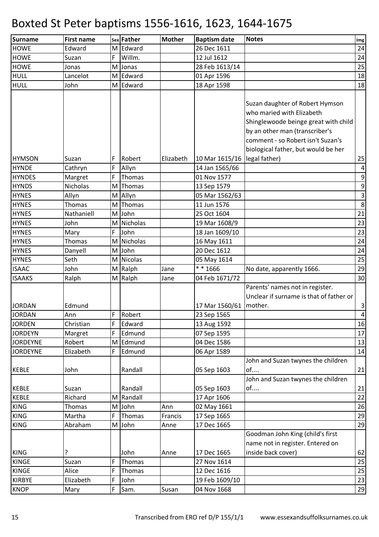| Surname         | <b>First name</b> |   | sex Father      | <b>Mother</b> | <b>Baptism date</b> | <b>Notes</b>                                                                                                                                                                                                       | Img              |
|-----------------|-------------------|---|-----------------|---------------|---------------------|--------------------------------------------------------------------------------------------------------------------------------------------------------------------------------------------------------------------|------------------|
| <b>HOWE</b>     | Edward            |   | M Edward        |               | 26 Dec 1611         |                                                                                                                                                                                                                    | 24               |
| <b>HOWE</b>     | Suzan             | F | Willm.          |               | 12 Jul 1612         |                                                                                                                                                                                                                    | 24               |
| <b>HOWE</b>     | Jonas             |   | M Jonas         |               | 28 Feb 1613/14      |                                                                                                                                                                                                                    | 25               |
| <b>HULL</b>     | Lancelot          |   | M Edward        |               | 01 Apr 1596         |                                                                                                                                                                                                                    | 18               |
| <b>HULL</b>     | John              |   | M Edward        |               | 18 Apr 1598         |                                                                                                                                                                                                                    | 18               |
|                 |                   |   |                 |               |                     | Suzan daughter of Robert Hymson<br>who maried with Elizabeth<br>Shinglewoode beinge great with child<br>by an other man (transcriber's<br>comment - so Robert isn't Suzan's<br>biological father, but would be her |                  |
| <b>HYMSON</b>   | Suzan             | F | Robert          | Elizabeth     | 10 Mar 1615/16      | legal father)                                                                                                                                                                                                      | 25               |
| <b>HYNDE</b>    | Cathryn           | F | Allyn           |               | 14 Jan 1565/66      |                                                                                                                                                                                                                    | 4                |
| <b>HYNDES</b>   | Margret           | F | Thomas          |               | 01 Nov 1577         |                                                                                                                                                                                                                    | $\boldsymbol{9}$ |
| <b>HYNDS</b>    | <b>Nicholas</b>   | M | Thomas          |               | 13 Sep 1579         |                                                                                                                                                                                                                    | $\boldsymbol{9}$ |
| <b>HYNES</b>    | Allyn             | M | Allyn           |               | 05 Mar 1562/63      |                                                                                                                                                                                                                    | $\mathbf{3}$     |
| <b>HYNES</b>    | Thomas            |   | M Thomas        |               | 11 Jun 1576         |                                                                                                                                                                                                                    | $\boldsymbol{8}$ |
| <b>HYNES</b>    | Nathaniell        |   | M John          |               | 25 Oct 1604         |                                                                                                                                                                                                                    | 21               |
| <b>HYNES</b>    | John              |   | M Nicholas      |               | 19 Mar 1608/9       |                                                                                                                                                                                                                    | 23               |
| <b>HYNES</b>    | Mary              | F | John            |               | 18 Jan 1609/10      |                                                                                                                                                                                                                    | 23               |
| <b>HYNES</b>    | Thomas            | M | <b>Nicholas</b> |               | 16 May 1611         |                                                                                                                                                                                                                    | 24               |
| <b>HYNES</b>    | Danyell           |   | M John          |               | 20 Dec 1612         |                                                                                                                                                                                                                    | 24               |
| <b>HYNES</b>    | Seth              |   | M Nicolas       |               | 05 May 1614         |                                                                                                                                                                                                                    | 25               |
| <b>ISAAC</b>    | John              |   | M Ralph         | Jane          | ** 1666             | No date, apparently 1666.                                                                                                                                                                                          | 29               |
| <b>ISAAKS</b>   | Ralph             |   | M Ralph         | Jane          | 04 Feb 1671/72      |                                                                                                                                                                                                                    | 30               |
| <b>JORDAN</b>   | Edmund            |   |                 |               | 17 Mar 1560/61      | Parents' names not in register.<br>Unclear if surname is that of father or<br>mother.                                                                                                                              | $\vert$ 3        |
| <b>JORDAN</b>   | Ann               | F | Robert          |               | 23 Sep 1565         |                                                                                                                                                                                                                    | $\overline{4}$   |
| <b>JORDEN</b>   | Christian         | F | Edward          |               | 13 Aug 1592         |                                                                                                                                                                                                                    | 16               |
| <b>JORDEYN</b>  | Margret           | F | Edmund          |               | 07 Sep 1595         |                                                                                                                                                                                                                    | 17               |
| <b>JORDEYNE</b> | Robert            |   | M Edmund        |               | 04 Dec 1586         |                                                                                                                                                                                                                    | 13               |
| <b>JORDEYNE</b> | Elizabeth         | F | Edmund          |               | 06 Apr 1589         |                                                                                                                                                                                                                    | 14               |
| <b>KEBLE</b>    | John              |   | Randall         |               | 05 Sep 1603         | John and Suzan twynes the children<br>of<br>John and Suzan twynes the children                                                                                                                                     | 21               |
| <b>KEBLE</b>    | Suzan             |   | Randall         |               | 05 Sep 1603         | of                                                                                                                                                                                                                 | 21               |
| <b>KEBLE</b>    | Richard           |   | M Randall       |               | 17 Apr 1606         |                                                                                                                                                                                                                    | 22               |
| <b>KING</b>     | Thomas            |   | M John          | Ann           | 02 May 1661         |                                                                                                                                                                                                                    | 26               |
| <b>KING</b>     | Martha            | F | Thomas          | Francis       | 17 Sep 1665         |                                                                                                                                                                                                                    | 29               |
| <b>KING</b>     | Abraham           |   | M John          | Anne          | 17 Dec 1665         |                                                                                                                                                                                                                    | 29               |
|                 |                   |   |                 |               |                     | Goodman John King (child's first                                                                                                                                                                                   |                  |
|                 |                   |   |                 |               |                     | name not in register. Entered on                                                                                                                                                                                   |                  |
| <b>KING</b>     | ?                 |   | John            | Anne          | 17 Dec 1665         | inside back cover)                                                                                                                                                                                                 | 62               |
| <b>KINGE</b>    | Suzan             | F | Thomas          |               | 27 Nov 1614         |                                                                                                                                                                                                                    | 25               |
| <b>KINGE</b>    | Alice             | F | Thomas          |               | 12 Dec 1616         |                                                                                                                                                                                                                    | 25               |
| <b>KIRBYE</b>   | Elizabeth         | F | John            |               | 19 Feb 1609/10      |                                                                                                                                                                                                                    | 23               |
| <b>KNOP</b>     | Mary              | F | Sam.            | Susan         | 04 Nov 1668         |                                                                                                                                                                                                                    | 29               |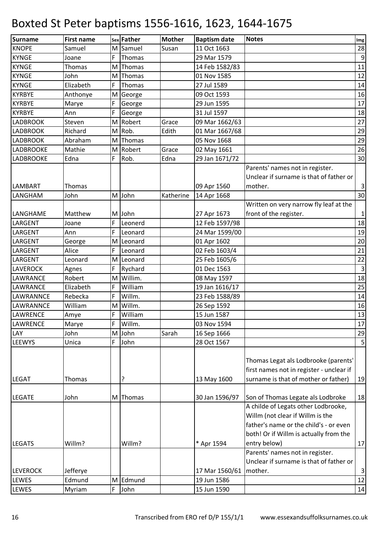| <b>KNOPE</b><br>11 Oct 1663<br>Samuel<br>M Samuel<br>Susan                               | 28                      |
|------------------------------------------------------------------------------------------|-------------------------|
|                                                                                          |                         |
| <b>KYNGE</b><br>29 Mar 1579<br>F<br>Thomas<br>Joane                                      | $\mathsf 9$             |
| <b>KYNGE</b><br>14 Feb 1582/83<br>Thomas<br>M<br>Thomas                                  | 11                      |
| <b>KYNGE</b><br>01 Nov 1585<br>Thomas<br>John<br>М                                       | 12                      |
| <b>KYNGE</b><br>Elizabeth<br>F<br>27 Jul 1589<br>Thomas                                  | 14                      |
| <b>KYRBYE</b><br>09 Oct 1593<br>Anthonye<br>M<br>George                                  | 16                      |
| <b>KYRBYE</b><br>F<br>29 Jun 1595<br>Marye<br>George                                     | 17                      |
| F<br><b>KYRBYE</b><br>George<br>31 Jul 1597<br>Ann                                       | 18                      |
| <b>LADBROOK</b><br>Steven<br>Robert<br>Grace<br>09 Mar 1662/63<br>M                      | 27                      |
| <b>LADBROOK</b><br>Richard<br>Rob.<br>Edith<br>01 Mar 1667/68<br>M                       | 29                      |
| <b>LADBROOK</b><br>Abraham<br>05 Nov 1668<br>Thomas<br>М                                 | 29                      |
| Mathie<br><b>LADBROOKE</b><br>Robert<br>M<br>Grace<br>02 May 1661                        | 26                      |
| Edna<br>F<br>Rob.<br>29 Jan 1671/72<br><b>LADBROOKE</b><br>Edna                          | 30                      |
| Parents' names not in register.                                                          |                         |
| Unclear if surname is that of father or                                                  |                         |
| LAMBART<br>09 Apr 1560<br>mother.<br><b>Thomas</b>                                       | $\vert$ 3               |
| LANGHAM<br>M John<br>Katherine<br>John<br>14 Apr 1668                                    | 30                      |
| Written on very narrow fly leaf at the                                                   |                         |
| front of the register.<br>27 Apr 1673<br>LANGHAME<br>Matthew<br>M John                   | $\mathbf{1}$            |
| F<br>12 Feb 1597/98<br>LARGENT<br>Leonerd<br>Joane                                       | 18                      |
| F<br>24 Mar 1599/00<br>LARGENT<br>Ann<br>Leonard                                         | 19                      |
| LARGENT<br>01 Apr 1602<br>Leonard<br>George<br>M                                         | 20                      |
| Alice<br>F<br>02 Feb 1603/4<br>LARGENT<br>Leonard                                        | 21                      |
| Leonard<br>Leonard<br>25 Feb 1605/6<br>LARGENT<br>M                                      | 22                      |
| 01 Dec 1563<br><b>LAVEROCK</b><br>F<br>Rychard<br>Agnes                                  | $\overline{3}$          |
| Willim.<br>Robert<br>LAWRANCE<br>M<br>08 May 1597                                        | 18                      |
| William<br>LAWRANCE<br>Elizabeth<br>F<br>19 Jan 1616/17                                  | 25                      |
| Rebecka<br>F<br>Willm.<br>23 Feb 1588/89<br>LAWRANNCE                                    | 14                      |
| LAWRANNCE<br>William<br>Willm.<br>26 Sep 1592<br>M                                       | 16                      |
| F<br>William<br>15 Jun 1587<br>LAWRENCE<br>Amye                                          | 13                      |
| Willm.<br><b>LAWRENCE</b><br>F<br>03 Nov 1594<br>Marye                                   | 17                      |
| LAY<br>M John<br>Sarah<br>16 Sep 1666<br>John                                            | 29                      |
| F<br><b>LEEWYS</b><br>Unica<br>John<br>28 Oct 1567                                       | $\overline{\mathbf{5}}$ |
|                                                                                          |                         |
| Thomas Legat als Lodbrooke (parents'                                                     |                         |
| first names not in register - unclear if                                                 |                         |
| surname is that of mother or father)<br>?<br>13 May 1600<br><b>LEGAT</b><br>Thomas       | 19                      |
| Son of Thomas Legate als Lodbroke<br><b>LEGATE</b><br>30 Jan 1596/97<br>John<br>M Thomas | 18                      |
| A childe of Legats other Lodbrooke,                                                      |                         |
| Willm (not clear if Willm is the                                                         |                         |
| father's name or the child's - or even                                                   |                         |
| both! Or if Willm is actually from the                                                   |                         |
| <b>LEGATS</b><br>Willm?<br>Willm?<br>* Apr 1594<br>entry below)                          | 17                      |
| Parents' names not in register.                                                          |                         |
| Unclear if surname is that of father or                                                  |                         |
| <b>LEVEROCK</b><br>Jefferye<br>17 Mar 1560/61<br>mother.                                 | $\vert$ 3               |
| 19 Jun 1586<br>LEWES<br>Edmund<br>M Edmund                                               | 12                      |
| F<br>LEWES<br>15 Jun 1590<br>Myriam<br>John                                              | 14                      |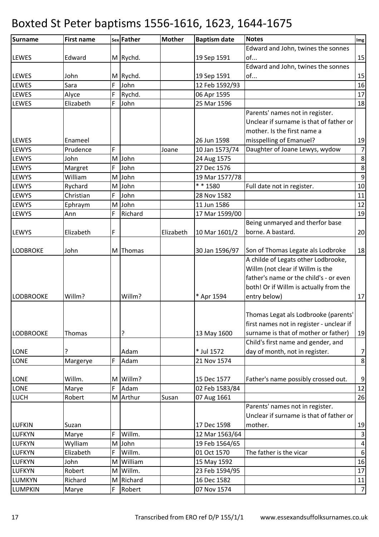| <b>Surname</b>   | <b>First name</b> |   | sex Father | <b>Mother</b> | <b>Baptism date</b> | <b>Notes</b>                             | Img              |
|------------------|-------------------|---|------------|---------------|---------------------|------------------------------------------|------------------|
|                  |                   |   |            |               |                     | Edward and John, twines the sonnes       |                  |
| <b>LEWES</b>     | Edward            |   | M Rychd.   |               | 19 Sep 1591         | of                                       | 15               |
|                  |                   |   |            |               |                     | Edward and John, twines the sonnes       |                  |
| <b>LEWES</b>     | John              |   | M Rychd.   |               | 19 Sep 1591         | of                                       | 15               |
| LEWES            | Sara              | F | John       |               | 12 Feb 1592/93      |                                          | 16               |
| LEWES            | Alyce             | F | Rychd.     |               | 06 Apr 1595         |                                          | $17\,$           |
| LEWES            | Elizabeth         | F | John       |               | 25 Mar 1596         |                                          | 18               |
|                  |                   |   |            |               |                     | Parents' names not in register.          |                  |
|                  |                   |   |            |               |                     | Unclear if surname is that of father or  |                  |
|                  |                   |   |            |               |                     | mother. Is the first name a              |                  |
| <b>LEWES</b>     | Enameel           |   |            |               | 26 Jun 1598         | misspelling of Emanuel?                  | 19               |
| LEWYS            | Prudence          | F |            | Joane         | 10 Jan 1573/74      | Daughter of Joane Lewys, wydow           | $\overline{7}$   |
| LEWYS            | John              |   | M John     |               | 24 Aug 1575         |                                          | 8                |
| LEWYS            | Margret           | F | John       |               | 27 Dec 1576         |                                          | 8                |
| LEWYS            | William           |   | M John     |               | 19 Mar 1577/78      |                                          | $\boldsymbol{9}$ |
| LEWYS            | Rychard           |   | M John     |               | ** 1580             | Full date not in register.               | 10               |
| LEWYS            | Christian         | F | John       |               | 28 Nov 1582         |                                          | 11               |
| LEWYS            | Ephraym           |   | M John     |               | 11 Jun 1586         |                                          | 12               |
| LEWYS            | Ann               | F | Richard    |               | 17 Mar 1599/00      |                                          | 19               |
|                  |                   |   |            |               |                     | Being unmaryed and therfor base          |                  |
| LEWYS            | Elizabeth         | F |            | Elizabeth     | 10 Mar 1601/2       | borne. A bastard.                        | 20               |
|                  |                   |   |            |               |                     |                                          |                  |
| <b>LODBROKE</b>  | John              |   | M Thomas   |               | 30 Jan 1596/97      | Son of Thomas Legate als Lodbroke        | 18               |
|                  |                   |   |            |               |                     | A childe of Legats other Lodbrooke,      |                  |
|                  |                   |   |            |               |                     | Willm (not clear if Willm is the         |                  |
|                  |                   |   |            |               |                     | father's name or the child's - or even   |                  |
|                  |                   |   |            |               |                     | both! Or if Willm is actually from the   |                  |
| <b>LODBROOKE</b> | Willm?            |   | Willm?     |               | * Apr 1594          | entry below)                             | 17               |
|                  |                   |   |            |               |                     |                                          |                  |
|                  |                   |   |            |               |                     | Thomas Legat als Lodbrooke (parents'     |                  |
|                  |                   |   |            |               |                     | first names not in register - unclear if |                  |
| <b>LODBROOKE</b> | Thomas            |   | ?          |               | 13 May 1600         | surname is that of mother or father)     | 19               |
|                  |                   |   |            |               |                     | Child's first name and gender, and       |                  |
| LONE             |                   |   | Adam       |               | * Jul 1572          | day of month, not in register.           | $\overline{7}$   |
| LONE             | Margerye          | F | Adam       |               | 21 Nov 1574         |                                          | $\bf 8$          |
|                  |                   |   |            |               |                     |                                          |                  |
| LONE             | Willm.            |   | M Willm?   |               | 15 Dec 1577         | Father's name possibly crossed out.      | 9                |
| LONE             | Marye             | F | Adam       |               | 02 Feb 1583/84      |                                          | 12               |
| LUCH             | Robert            |   | M Arthur   | Susan         | 07 Aug 1661         |                                          | 26               |
|                  |                   |   |            |               |                     | Parents' names not in register.          |                  |
|                  |                   |   |            |               |                     | Unclear if surname is that of father or  |                  |
| <b>LUFKIN</b>    | Suzan             |   |            |               | 17 Dec 1598         | mother.                                  | 19               |
| <b>LUFKYN</b>    | Marye             | F | Willm.     |               | 12 Mar 1563/64      |                                          | $\mathsf{3}$     |
| <b>LUFKYN</b>    | Wylliam           | M | John       |               | 19 Feb 1564/65      |                                          | $\pmb{4}$        |
| <b>LUFKYN</b>    | Elizabeth         | F | Willm.     |               | 01 Oct 1570         | The father is the vicar                  | $\boldsymbol{6}$ |
| <b>LUFKYN</b>    | John              |   | M William  |               | 15 May 1592         |                                          | 16               |
| <b>LUFKYN</b>    | Robert            | М | Willm.     |               | 23 Feb 1594/95      |                                          | 17               |
| LUMKYN           | Richard           |   | M Richard  |               | 16 Dec 1582         |                                          | 11               |
| <b>LUMPKIN</b>   | Marye             | F | Robert     |               | 07 Nov 1574         |                                          | $\overline{7}$   |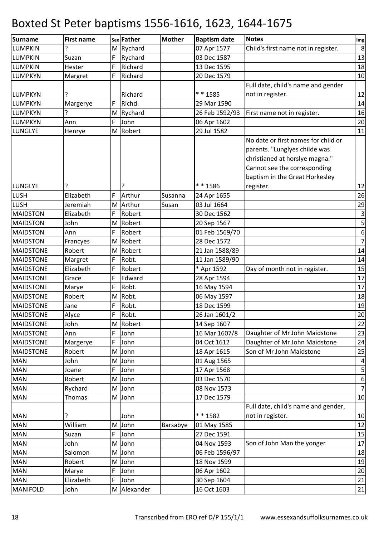| Surname          | <b>First name</b> |   | sex Father  | <b>Mother</b> | <b>Baptism date</b> | <b>Notes</b>                        | $\mathop{\textsf{Img}}$ |
|------------------|-------------------|---|-------------|---------------|---------------------|-------------------------------------|-------------------------|
| <b>LUMPKIN</b>   | ?                 |   | M Rychard   |               | 07 Apr 1577         | Child's first name not in register. | $\,8\,$                 |
| <b>LUMPKIN</b>   | Suzan             | F | Rychard     |               | 03 Dec 1587         |                                     | 13                      |
| <b>LUMPKIN</b>   | Hester            | F | Richard     |               | 13 Dec 1595         |                                     | 18                      |
| <b>LUMPKYN</b>   | Margret           | F | Richard     |               | 20 Dec 1579         |                                     | 10                      |
|                  |                   |   |             |               |                     | Full date, child's name and gender  |                         |
| <b>LUMPKYN</b>   |                   |   | Richard     |               | * * 1585            | not in register.                    | 12                      |
| <b>LUMPKYN</b>   | Margerye          | F | Richd.      |               | 29 Mar 1590         |                                     | 14                      |
| <b>LUMPKYN</b>   | ?                 |   | M Rychard   |               | 26 Feb 1592/93      | First name not in register.         | 16                      |
| <b>LUMPKYN</b>   | Ann               | F | John        |               | 06 Apr 1602         |                                     | 20                      |
| LUNGLYE          | Henrye            |   | M Robert    |               | 29 Jul 1582         |                                     | 11                      |
|                  |                   |   |             |               |                     | No date or first names for child or |                         |
|                  |                   |   |             |               |                     | parents. "Lunglyes childe was       |                         |
|                  |                   |   |             |               |                     | christianed at horslye magna."      |                         |
|                  |                   |   |             |               |                     | Cannot see the corresponding        |                         |
|                  |                   |   |             |               |                     | baptism in the Great Horkesley      |                         |
| LUNGLYE          |                   |   |             |               | ** 1586             | register.                           | 12                      |
| <b>LUSH</b>      | Elizabeth         | F | Arthur      | Susanna       | 24 Apr 1655         |                                     | 26                      |
| <b>LUSH</b>      | Jeremiah          |   | M Arthur    | Susan         | 03 Jul 1664         |                                     | 29                      |
| <b>MAIDSTON</b>  | Elizabeth         | F | Robert      |               | 30 Dec 1562         |                                     | $\mathsf{3}$            |
| <b>MAIDSTON</b>  | John              | M | Robert      |               | 20 Sep 1567         |                                     | $\overline{\mathbf{5}}$ |
| <b>MAIDSTON</b>  | Ann               | F | Robert      |               | 01 Feb 1569/70      |                                     | $\boldsymbol{6}$        |
| <b>MAIDSTON</b>  | Francyes          | M | Robert      |               | 28 Dec 1572         |                                     | $\overline{7}$          |
| <b>MAIDSTONE</b> | Robert            | M | Robert      |               | 21 Jan 1588/89      |                                     | 14                      |
| <b>MAIDSTONE</b> | Margret           | F | Robt.       |               | 11 Jan 1589/90      |                                     | 14                      |
| <b>MAIDSTONE</b> | Elizabeth         | F | Robert      |               | * Apr 1592          | Day of month not in register.       | 15                      |
| <b>MAIDSTONE</b> | Grace             | F | Edward      |               | 28 Apr 1594         |                                     | 17                      |
| <b>MAIDSTONE</b> | Marye             | F | Robt.       |               | 16 May 1594         |                                     | 17                      |
| <b>MAIDSTONE</b> | Robert            | M | Robt.       |               | 06 May 1597         |                                     | 18                      |
| <b>MAIDSTONE</b> | Jane              | F | Robt.       |               | 18 Dec 1599         |                                     | 19                      |
| <b>MAIDSTONE</b> | Alyce             | F | Robt.       |               | 26 Jan 1601/2       |                                     | 20                      |
| <b>MAIDSTONE</b> | John              |   | M Robert    |               | 14 Sep 1607         |                                     | 22                      |
| <b>MAIDSTONE</b> | Ann               | F | John        |               | 16 Mar 1607/8       | Daughter of Mr John Maidstone       | 23                      |
| <b>MAIDSTONE</b> | Margerye          | F | John        |               | 04 Oct 1612         | Daughter of Mr John Maidstone       | 24                      |
| <b>MAIDSTONE</b> | Robert            |   | M John      |               | 18 Apr 1615         | Son of Mr John Maidstone            | 25                      |
| <b>MAN</b>       | John              |   | M John      |               | 01 Aug 1565         |                                     | $\overline{\mathbf{4}}$ |
| <b>MAN</b>       | Joane             | F | John        |               | 17 Apr 1568         |                                     | $\mathsf S$             |
| <b>MAN</b>       | Robert            |   | M John      |               | 03 Dec 1570         |                                     | 6                       |
| <b>MAN</b>       | Rychard           |   | M John      |               | 08 Nov 1573         |                                     | $\overline{7}$          |
| <b>MAN</b>       | Thomas            |   | M John      |               | 17 Dec 1579         |                                     | 10                      |
|                  |                   |   |             |               |                     | Full date, child's name and gender, |                         |
| <b>MAN</b>       | ?                 |   | John        |               | * * 1582            | not in register.                    | 10                      |
| <b>MAN</b>       | William           |   | M John      | Barsabye      | 01 May 1585         |                                     | 12                      |
| <b>MAN</b>       | Suzan             | F | John        |               | 27 Dec 1591         |                                     | 15                      |
| <b>MAN</b>       | John              |   | M John      |               | 04 Nov 1593         | Son of John Man the yonger          | 17                      |
| <b>MAN</b>       | Salomon           |   | M John      |               | 06 Feb 1596/97      |                                     | 18                      |
| <b>MAN</b>       | Robert            |   | M John      |               | 18 Nov 1599         |                                     | 19                      |
| <b>MAN</b>       | Marye             | F | John        |               | 06 Apr 1602         |                                     | 20                      |
| <b>MAN</b>       | Elizabeth         | F | John        |               | 30 Sep 1604         |                                     | 21                      |
| <b>MANIFOLD</b>  | John              |   | M Alexander |               | 16 Oct 1603         |                                     | 21                      |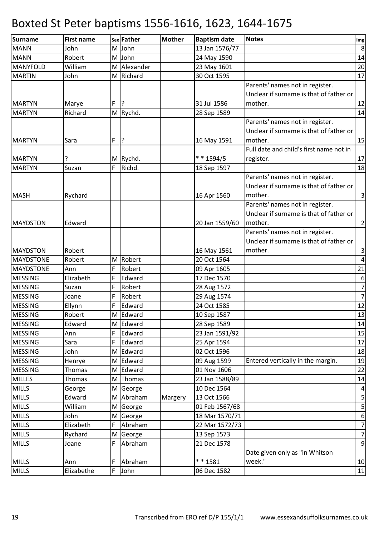| <b>Surname</b>   | <b>First name</b> |   | sex Father  | <b>Mother</b> | <b>Baptism date</b> | <b>Notes</b>                            | Img              |
|------------------|-------------------|---|-------------|---------------|---------------------|-----------------------------------------|------------------|
| <b>MANN</b>      | John              |   | M John      |               | 13 Jan 1576/77      |                                         | $\,8\,$          |
| <b>MANN</b>      | Robert            |   | M John      |               | 24 May 1590         |                                         | 14               |
| MANYFOLD         | William           |   | M Alexander |               | 23 May 1601         |                                         | 20               |
| <b>MARTIN</b>    | John              |   | M Richard   |               | 30 Oct 1595         |                                         | 17               |
|                  |                   |   |             |               |                     | Parents' names not in register.         |                  |
|                  |                   |   |             |               |                     | Unclear if surname is that of father or |                  |
| <b>MARTYN</b>    | Marye             | F | ?           |               | 31 Jul 1586         | mother.                                 | 12               |
| <b>MARTYN</b>    | Richard           |   | M Rychd.    |               | 28 Sep 1589         |                                         | 14               |
|                  |                   |   |             |               |                     | Parents' names not in register.         |                  |
|                  |                   |   |             |               |                     | Unclear if surname is that of father or |                  |
| <b>MARTYN</b>    | Sara              | F | <u> }</u>   |               | 16 May 1591         | mother.                                 | 15               |
|                  |                   |   |             |               |                     | Full date and child's first name not in |                  |
| <b>MARTYN</b>    |                   |   | M Rychd.    |               | * * 1594/5          | register.                               | 17               |
| <b>MARTYN</b>    | Suzan             | F | Richd.      |               | 18 Sep 1597         |                                         | 18               |
|                  |                   |   |             |               |                     | Parents' names not in register.         |                  |
|                  |                   |   |             |               |                     | Unclear if surname is that of father or |                  |
| <b>MASH</b>      | Rychard           |   |             |               | 16 Apr 1560         | mother.                                 | $\overline{3}$   |
|                  |                   |   |             |               |                     | Parents' names not in register.         |                  |
|                  |                   |   |             |               |                     | Unclear if surname is that of father or |                  |
| <b>MAYDSTON</b>  | Edward            |   |             |               | 20 Jan 1559/60      | mother.                                 | $\overline{2}$   |
|                  |                   |   |             |               |                     | Parents' names not in register.         |                  |
|                  |                   |   |             |               |                     | Unclear if surname is that of father or |                  |
| <b>MAYDSTON</b>  | Robert            |   |             |               | 16 May 1561         | mother.                                 | $\mathbf{3}$     |
| <b>MAYDSTONE</b> | Robert            |   | M Robert    |               | 20 Oct 1564         |                                         | $\vert 4 \vert$  |
| <b>MAYDSTONE</b> | Ann               | F | Robert      |               | 09 Apr 1605         |                                         | 21               |
| <b>MESSING</b>   | Elizabeth         | F | Edward      |               | 17 Dec 1570         |                                         | 6                |
| <b>MESSING</b>   | Suzan             | F | Robert      |               | 28 Aug 1572         |                                         | $\overline{7}$   |
| <b>MESSING</b>   | Joane             | F | Robert      |               | 29 Aug 1574         |                                         | $\overline{7}$   |
| <b>MESSING</b>   | Ellynn            | F | Edward      |               | 24 Oct 1585         |                                         | 12               |
| <b>MESSING</b>   | Robert            |   | M Edward    |               | 10 Sep 1587         |                                         | 13               |
| <b>MESSING</b>   | Edward            |   | M Edward    |               | 28 Sep 1589         |                                         | 14               |
| <b>MESSING</b>   | Ann               | F | Edward      |               | 23 Jan 1591/92      |                                         | 15               |
| <b>MESSING</b>   | Sara              | F | Edward      |               | 25 Apr 1594         |                                         | 17               |
| <b>MESSING</b>   | John              |   | M Edward    |               | 02 Oct 1596         |                                         | 18               |
| <b>MESSING</b>   | Henrye            |   | M Edward    |               | 09 Aug 1599         | Entered vertically in the margin.       | 19               |
| <b>MESSING</b>   | Thomas            |   | M Edward    |               | 01 Nov 1606         |                                         | 22               |
| <b>MILLES</b>    | Thomas            |   | M Thomas    |               | 23 Jan 1588/89      |                                         | 14               |
| <b>MILLS</b>     | George            |   | M George    |               | 10 Dec 1564         |                                         | $\overline{a}$   |
| <b>MILLS</b>     | Edward            |   | M Abraham   | Margery       | 13 Oct 1566         |                                         | $\sf S$          |
| <b>MILLS</b>     | William           |   | M George    |               | 01 Feb 1567/68      |                                         | $\sf S$          |
| <b>MILLS</b>     | John              |   | M George    |               | 18 Mar 1570/71      |                                         | $\boldsymbol{6}$ |
| <b>MILLS</b>     | Elizabeth         | F | Abraham     |               | 22 Mar 1572/73      |                                         | $\overline{7}$   |
| <b>MILLS</b>     | Rychard           |   | M George    |               | 13 Sep 1573         |                                         | $\overline{7}$   |
| <b>MILLS</b>     | Joane             | F | Abraham     |               | 21 Dec 1578         |                                         | $\overline{9}$   |
|                  |                   |   |             |               |                     | Date given only as "in Whitson          |                  |
| <b>MILLS</b>     | Ann               | F | Abraham     |               | ** 1581             | week."                                  | 10               |
| <b>MILLS</b>     | Elizabethe        |   | F John      |               | 06 Dec 1582         |                                         | 11               |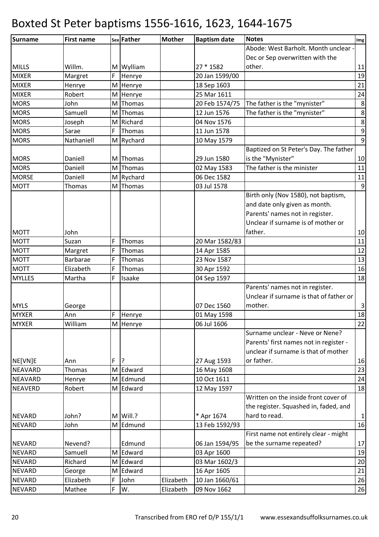| Surname        | <b>First name</b> |   | sex Father   | <b>Mother</b> | <b>Baptism date</b> | <b>Notes</b>                            | Img              |
|----------------|-------------------|---|--------------|---------------|---------------------|-----------------------------------------|------------------|
|                |                   |   |              |               |                     | Abode: West Barholt. Month unclear -    |                  |
|                |                   |   |              |               |                     | Dec or Sep overwritten with the         |                  |
| <b>MILLS</b>   | Willm.            |   | M Wylliam    |               | 27 * 1582           | other.                                  | 11               |
| <b>MIXER</b>   | Margret           | F | Henrye       |               | 20 Jan 1599/00      |                                         | 19               |
| <b>MIXER</b>   | Henrye            |   | M Henrye     |               | 18 Sep 1603         |                                         | 21               |
| <b>MIXER</b>   | Robert            |   | M Henrye     |               | 25 Mar 1611         |                                         | 24               |
| <b>MORS</b>    | John              | M | Thomas       |               | 20 Feb 1574/75      | The father is the "mynister"            | $\,8\,$          |
| <b>MORS</b>    | Samuell           |   | M Thomas     |               | 12 Jun 1576         | The father is the "mynister"            | $\bf 8$          |
| <b>MORS</b>    | Joseph            |   | M Richard    |               | 04 Nov 1576         |                                         | $\bf 8$          |
| <b>MORS</b>    | Sarae             | F | Thomas       |               | 11 Jun 1578         |                                         | $\mathsf 9$      |
| <b>MORS</b>    | Nathaniell        |   | M Rychard    |               | 10 May 1579         |                                         | $\boldsymbol{9}$ |
|                |                   |   |              |               |                     | Baptized on St Peter's Day. The father  |                  |
| <b>MORS</b>    | Daniell           |   | M Thomas     |               | 29 Jun 1580         | is the "Mynister"                       | 10               |
| <b>MORS</b>    | Daniell           |   | M Thomas     |               | 02 May 1583         | The father is the minister              | 11               |
| <b>MORSE</b>   | Daniell           |   | M Rychard    |               | 06 Dec 1582         |                                         | 11               |
| <b>MOTT</b>    | Thomas            |   | M Thomas     |               | 03 Jul 1578         |                                         | 9                |
|                |                   |   |              |               |                     | Birth only (Nov 1580), not baptism,     |                  |
|                |                   |   |              |               |                     | and date only given as month.           |                  |
|                |                   |   |              |               |                     | Parents' names not in register.         |                  |
|                |                   |   |              |               |                     | Unclear if surname is of mother or      |                  |
| <b>MOTT</b>    | John              |   |              |               |                     | father.                                 | 10               |
| <b>MOTT</b>    | Suzan             | F | Thomas       |               | 20 Mar 1582/83      |                                         | 11               |
| <b>MOTT</b>    | Margret           | F | Thomas       |               | 14 Apr 1585         |                                         | 12               |
| <b>MOTT</b>    | <b>Barbarae</b>   | F | Thomas       |               | 23 Nov 1587         |                                         | 13               |
| <b>MOTT</b>    | Elizabeth         | F | Thomas       |               | 30 Apr 1592         |                                         | 16               |
| <b>MYLLES</b>  | Martha            | F | Isaake       |               | 04 Sep 1597         |                                         | 18               |
|                |                   |   |              |               |                     | Parents' names not in register.         |                  |
|                |                   |   |              |               |                     | Unclear if surname is that of father or |                  |
| <b>MYLS</b>    | George            |   |              |               | 07 Dec 1560         | mother.                                 | $\mathbf{3}$     |
| <b>MYXER</b>   | Ann               | F | Henrye       |               | 01 May 1598         |                                         | 18               |
| <b>MYXER</b>   | William           |   | M Henrye     |               | 06 Jul 1606         |                                         | 22               |
|                |                   |   |              |               |                     | Surname unclear - Neve or Nene?         |                  |
|                |                   |   |              |               |                     | Parents' first names not in register -  |                  |
|                |                   |   |              |               |                     | unclear if surname is that of mother    |                  |
| NE[VN]E        | Ann               | F | $\mathsf{R}$ |               | 27 Aug 1593         | or father.                              | 16               |
| <b>NEAVARD</b> | Thomas            |   | M Edward     |               | 16 May 1608         |                                         | 23               |
| <b>NEAVARD</b> | Henrye            |   | M Edmund     |               | 10 Oct 1611         |                                         | 24               |
| <b>NEAVERD</b> | Robert            |   | M Edward     |               | 12 May 1597         |                                         | 18               |
|                |                   |   |              |               |                     | Written on the inside front cover of    |                  |
|                |                   |   |              |               |                     | the register. Squashed in, faded, and   |                  |
| <b>NEVARD</b>  | John?             |   | M Will.?     |               | * Apr 1674          | hard to read.                           | $\mathbf{1}$     |
| <b>NEVARD</b>  | John              |   | M Edmund     |               | 13 Feb 1592/93      |                                         | 16               |
|                |                   |   |              |               |                     | First name not entirely clear - might   |                  |
| <b>NEVARD</b>  | Nevend?           |   | Edmund       |               | 06 Jan 1594/95      | be the surname repeated?                | 17               |
| <b>NEVARD</b>  | Samuell           |   | M Edward     |               | 03 Apr 1600         |                                         | 19               |
| <b>NEVARD</b>  | Richard           |   | M Edward     |               | 03 Mar 1602/3       |                                         | 20               |
| <b>NEVARD</b>  | George            |   | M Edward     |               | 16 Apr 1605         |                                         | 21               |
| <b>NEVARD</b>  | Elizabeth         | F | John         | Elizabeth     | 10 Jan 1660/61      |                                         | 26               |
| <b>NEVARD</b>  | Mathee            | F | W.           | Elizabeth     | 09 Nov 1662         |                                         | 26               |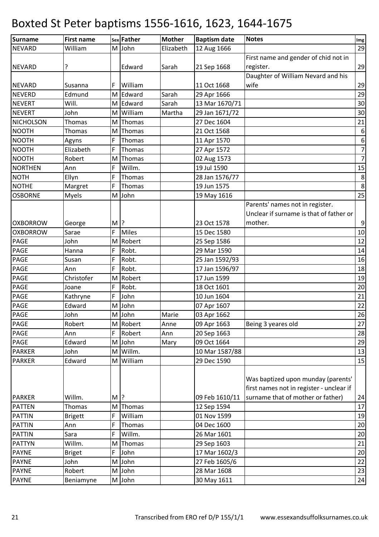| <b>Surname</b>   | <b>First name</b> |       | sex Father | <b>Mother</b> | <b>Baptism date</b> | <b>Notes</b>                             | Img              |
|------------------|-------------------|-------|------------|---------------|---------------------|------------------------------------------|------------------|
| <b>NEVARD</b>    | William           |       | M John     | Elizabeth     | 12 Aug 1666         |                                          | 29               |
|                  |                   |       |            |               |                     | First name and gender of chid not in     |                  |
| <b>NEVARD</b>    | ?                 |       | Edward     | Sarah         | 21 Sep 1668         | register.                                | 29               |
|                  |                   |       |            |               |                     | Daughter of William Nevard and his       |                  |
| <b>NEVARD</b>    | Susanna           | F     | William    |               | 11 Oct 1668         | wife                                     | 29               |
| <b>NEVERD</b>    | Edmund            |       | M Edward   | Sarah         | 29 Apr 1666         |                                          | 29               |
| <b>NEVERT</b>    | Will.             |       | M Edward   | Sarah         | 13 Mar 1670/71      |                                          | 30               |
| <b>NEVERT</b>    | John              |       | M William  | Martha        | 29 Jan 1671/72      |                                          | 30               |
| <b>NICHOLSON</b> | Thomas            | M     | Thomas     |               | 27 Dec 1604         |                                          | 21               |
| <b>NOOTH</b>     | Thomas            | M     | Thomas     |               | 21 Oct 1568         |                                          | $\boldsymbol{6}$ |
| <b>NOOTH</b>     | Agyns             | F     | Thomas     |               | 11 Apr 1570         |                                          | $\boldsymbol{6}$ |
| <b>NOOTH</b>     | Elizabeth         | F     | Thomas     |               | 27 Apr 1572         |                                          | $\overline{7}$   |
| <b>NOOTH</b>     | Robert            | M     | Thomas     |               | 02 Aug 1573         |                                          | $\overline{7}$   |
| <b>NORTHEN</b>   | Ann               | F     | Willm.     |               | 19 Jul 1590         |                                          | 15               |
| <b>NOTH</b>      | Ellyn             | F     | Thomas     |               | 28 Jan 1576/77      |                                          | $\bf 8$          |
| <b>NOTHE</b>     | Margret           | F     | Thomas     |               | 19 Jun 1575         |                                          | $\bf 8$          |
| <b>OSBORNE</b>   | Myels             |       | M John     |               | 19 May 1616         |                                          | 25               |
|                  |                   |       |            |               |                     | Parents' names not in register.          |                  |
|                  |                   |       |            |               |                     | Unclear if surname is that of father or  |                  |
| <b>OXBORROW</b>  | George            | $M$ ? |            |               | 23 Oct 1578         | mother.                                  | $9\,$            |
| <b>OXBORROW</b>  | Sarae             | F     | Miles      |               | 15 Dec 1580         |                                          | 10               |
| PAGE             | John              | M     | Robert     |               | 25 Sep 1586         |                                          | 12               |
| PAGE             | Hanna             | F     | Robt.      |               | 29 Mar 1590         |                                          | 14               |
| PAGE             | Susan             | F     | Robt.      |               | 25 Jan 1592/93      |                                          | 16               |
| PAGE             | Ann               | F     | Robt.      |               | 17 Jan 1596/97      |                                          | 18               |
| <b>PAGE</b>      | Christofer        | M     | Robert     |               | 17 Jun 1599         |                                          | 19               |
| PAGE             | Joane             | F     | Robt.      |               | 18 Oct 1601         |                                          | 20               |
| <b>PAGE</b>      | Kathryne          | F     | John       |               | 10 Jun 1604         |                                          | 21               |
| PAGE             | Edward            | M     | John       |               | 07 Apr 1607         |                                          | 22               |
| <b>PAGE</b>      | John              |       | M John     | Marie         | 03 Apr 1662         |                                          | 26               |
| <b>PAGE</b>      | Robert            |       | M Robert   | Anne          | 09 Apr 1663         | Being 3 yeares old                       | 27               |
| <b>PAGE</b>      | Ann               | F     | Robert     | Ann           | 20 Sep 1663         |                                          | 28               |
| PAGE             | Edward            |       | M John     | Mary          | 09 Oct 1664         |                                          | 29               |
| <b>PARKER</b>    | John              | M     | Willm.     |               | 10 Mar 1587/88      |                                          | 13               |
| <b>PARKER</b>    | Edward            |       | M William  |               | 29 Dec 1590         |                                          | 15               |
|                  |                   |       |            |               |                     |                                          |                  |
|                  |                   |       |            |               |                     | Was baptized upon munday (parents'       |                  |
|                  |                   |       |            |               |                     | first names not in register - unclear if |                  |
| <b>PARKER</b>    | Willm.            | $M$ ? |            |               | 09 Feb 1610/11      | surname that of mother or father)        | 24               |
| <b>PATTEN</b>    | Thomas            |       | M Thomas   |               | 12 Sep 1594         |                                          | 17               |
| <b>PATTIN</b>    | <b>Brigett</b>    | F     | William    |               | 01 Nov 1599         |                                          | 19               |
| <b>PATTIN</b>    | Ann               | F     | Thomas     |               | 04 Dec 1600         |                                          | 20               |
| <b>PATTIN</b>    | Sara              | F     | Willm.     |               | 26 Mar 1601         |                                          | 20               |
| <b>PATTYN</b>    | Willm.            | M     | Thomas     |               | 29 Sep 1603         |                                          | 21               |
| <b>PAYNE</b>     | <b>Briget</b>     | F     | John       |               | 17 Mar 1602/3       |                                          | 20               |
| <b>PAYNE</b>     | John              |       | M John     |               | 27 Feb 1605/6       |                                          | 22               |
| <b>PAYNE</b>     | Robert            |       | M John     |               | 28 Mar 1608         |                                          | 23               |
| <b>PAYNE</b>     | Beniamyne         |       | M John     |               | 30 May 1611         |                                          | 24               |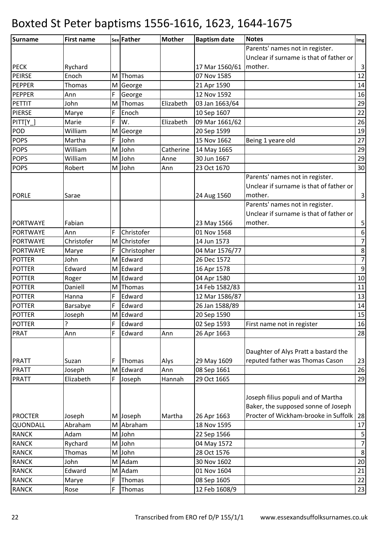| Surname         | <b>First name</b> |     | sex Father  | <b>Mother</b> | <b>Baptism date</b>      | <b>Notes</b>                            | Img              |
|-----------------|-------------------|-----|-------------|---------------|--------------------------|-----------------------------------------|------------------|
|                 |                   |     |             |               |                          | Parents' names not in register.         |                  |
|                 |                   |     |             |               |                          | Unclear if surname is that of father or |                  |
| <b>PECK</b>     | Rychard           |     |             |               | 17 Mar 1560/61   mother. |                                         | $\mathsf{3}$     |
| <b>PEIRSE</b>   | Enoch             | M l | Thomas      |               | 07 Nov 1585              |                                         | 12               |
| <b>PEPPER</b>   | Thomas            |     | M George    |               | 21 Apr 1590              |                                         | 14               |
| <b>PEPPER</b>   | Ann               | F   | George      |               | 12 Nov 1592              |                                         | 16               |
| <b>PETTIT</b>   | John              | M   | Thomas      | Elizabeth     | 03 Jan 1663/64           |                                         | 29               |
| <b>PIERSE</b>   | Marye             | F   | Enoch       |               | 10 Sep 1607              |                                         | 22               |
| $PITT[Y_$       | Marie             | F   | W.          | Elizabeth     | 09 Mar 1661/62           |                                         | 26               |
| POD             | William           | M   | George      |               | 20 Sep 1599              |                                         | 19               |
| <b>POPS</b>     | Martha            | F   | John        |               | 15 Nov 1662              | Being 1 yeare old                       | 27               |
| <b>POPS</b>     | William           | M   | John        | Catherine     | 14 May 1665              |                                         | 29               |
| <b>POPS</b>     | William           |     | M John      | Anne          | 30 Jun 1667              |                                         | 29               |
| <b>POPS</b>     | Robert            |     | M John      | Ann           | 23 Oct 1670              |                                         | 30               |
|                 |                   |     |             |               |                          | Parents' names not in register.         |                  |
|                 |                   |     |             |               |                          | Unclear if surname is that of father or |                  |
| <b>PORLE</b>    | Sarae             |     |             |               | 24 Aug 1560              | mother.                                 | $\vert$ 3        |
|                 |                   |     |             |               |                          | Parents' names not in register.         |                  |
|                 |                   |     |             |               |                          | Unclear if surname is that of father or |                  |
| <b>PORTWAYE</b> | Fabian            |     |             |               | 23 May 1566              | mother.                                 | $\mathsf S$      |
| PORTWAYE        | Ann               | F   | Christofer  |               | 01 Nov 1568              |                                         | $\boldsymbol{6}$ |
| <b>PORTWAYE</b> | Christofer        | M   | Christofer  |               | 14 Jun 1573              |                                         | $\overline{7}$   |
| <b>PORTWAYE</b> | Marye             | F   | Christopher |               | 04 Mar 1576/77           |                                         | $\bf 8$          |
| <b>POTTER</b>   | John              | M   | Edward      |               | 26 Dec 1572              |                                         | $\overline{7}$   |
| <b>POTTER</b>   | Edward            |     | M Edward    |               | 16 Apr 1578              |                                         | $\overline{9}$   |
| <b>POTTER</b>   | Roger             | M   | Edward      |               | 04 Apr 1580              |                                         | 10               |
| <b>POTTER</b>   | Daniell           | M   | Thomas      |               | 14 Feb 1582/83           |                                         | 11               |
| <b>POTTER</b>   | Hanna             | F   | Edward      |               | 12 Mar 1586/87           |                                         | 13               |
| <b>POTTER</b>   | Barsabye          | F   | Edward      |               | 26 Jan 1588/89           |                                         | 14               |
| <b>POTTER</b>   | Joseph            |     | M Edward    |               | 20 Sep 1590              |                                         | 15               |
| <b>POTTER</b>   | ?                 | F   | Edward      |               | 02 Sep 1593              | First name not in register              | 16               |
| <b>PRAT</b>     | Ann               | F   | Edward      | Ann           | 26 Apr 1663              |                                         | 28               |
|                 |                   |     |             |               |                          |                                         |                  |
|                 |                   |     |             |               |                          | Daughter of Alys Pratt a bastard the    |                  |
| <b>PRATT</b>    | Suzan             | F   | Thomas      | Alys          | 29 May 1609              | reputed father was Thomas Cason         | 23               |
| <b>PRATT</b>    | Joseph            |     | M Edward    | Ann           | 08 Sep 1661              |                                         | 26               |
| <b>PRATT</b>    | Elizabeth         | F   | Joseph      | Hannah        | 29 Oct 1665              |                                         | 29               |
|                 |                   |     |             |               |                          |                                         |                  |
|                 |                   |     |             |               |                          | Joseph filius populi and of Martha      |                  |
|                 |                   |     |             |               |                          | Baker, the supposed sonne of Joseph     |                  |
| <b>PROCTER</b>  | Joseph            |     | M Joseph    | Martha        | 26 Apr 1663              | Procter of Wickham-brooke in Suffolk    | 28               |
| QUONDALL        | Abraham           |     | M Abraham   |               | 18 Nov 1595              |                                         | 17               |
| <b>RANCK</b>    | Adam              |     | M John      |               | 22 Sep 1566              |                                         | $\mathsf S$      |
| <b>RANCK</b>    | Rychard           | M   | John        |               | 04 May 1572              |                                         | $\overline{7}$   |
| <b>RANCK</b>    | Thomas            |     | M John      |               | 28 Oct 1576              |                                         | $\,8\,$          |
| <b>RANCK</b>    | John              |     | M Adam      |               | 30 Nov 1602              |                                         | $20\,$           |
| <b>RANCK</b>    | Edward            | M   | Adam        |               | 01 Nov 1604              |                                         | 21               |
| <b>RANCK</b>    | Marye             | F   | Thomas      |               | 08 Sep 1605              |                                         | 22               |
| <b>RANCK</b>    | Rose              | F   | Thomas      |               | 12 Feb 1608/9            |                                         | 23               |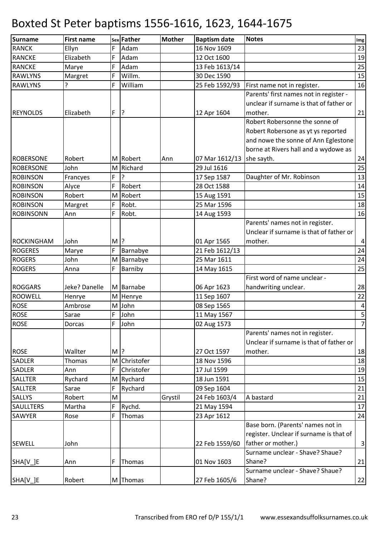| <b>Surname</b>   | <b>First name</b> |        | sex Father   | <b>Mother</b> | <b>Baptism date</b> | <b>Notes</b>                            | Img                     |
|------------------|-------------------|--------|--------------|---------------|---------------------|-----------------------------------------|-------------------------|
| <b>RANCK</b>     | Ellyn             | F      | Adam         |               | 16 Nov 1609         |                                         | 23                      |
| <b>RANCKE</b>    | Elizabeth         | F      | Adam         |               | 12 Oct 1600         |                                         | 19                      |
| RANCKE           | Marye             | F      | Adam         |               | 13 Feb 1613/14      |                                         | 25                      |
| <b>RAWLYNS</b>   | Margret           | F      | Willm.       |               | 30 Dec 1590         |                                         | 15                      |
| <b>RAWLYNS</b>   | ς                 | F      | William      |               | 25 Feb 1592/93      | First name not in register.             | 16                      |
|                  |                   |        |              |               |                     | Parents' first names not in register -  |                         |
|                  |                   |        |              |               |                     | unclear if surname is that of father or |                         |
| <b>REYNOLDS</b>  | Elizabeth         | F      | ?            |               | 12 Apr 1604         | mother.                                 | 21                      |
|                  |                   |        |              |               |                     | Robert Robersonne the sonne of          |                         |
|                  |                   |        |              |               |                     | Robert Robersone as yt ys reported      |                         |
|                  |                   |        |              |               |                     | and nowe the sonne of Ann Eglestone     |                         |
|                  |                   |        |              |               |                     | borne at Rivers hall and a wydowe as    |                         |
| <b>ROBERSONE</b> | Robert            |        | M Robert     | Ann           | 07 Mar 1612/13      | she sayth.                              | 24                      |
| <b>ROBERSONE</b> | John              |        | M Richard    |               | 29 Jul 1616         |                                         | $\overline{25}$         |
| <b>ROBINSON</b>  | Francyes          | F      | l?           |               | 17 Sep 1587         | Daughter of Mr. Robinson                | 13                      |
| <b>ROBINSON</b>  | Alyce             | F      | Robert       |               | 28 Oct 1588         |                                         | 14                      |
| <b>ROBINSON</b>  | Robert            | M      | Robert       |               | 15 Aug 1591         |                                         | 15                      |
| <b>ROBINSON</b>  | Margret           | F      | Robt.        |               | 25 Mar 1596         |                                         | 18                      |
| <b>ROBINSONN</b> | Ann               | F      | Robt.        |               | 14 Aug 1593         |                                         | 16                      |
|                  |                   |        |              |               |                     | Parents' names not in register.         |                         |
|                  |                   |        |              |               |                     | Unclear if surname is that of father or |                         |
| ROCKINGHAM       | John              | $M$  ? |              |               | 01 Apr 1565         | mother.                                 | $\vert 4 \vert$         |
| <b>ROGERES</b>   | Marye             | F      | Barnabye     |               | 21 Feb 1612/13      |                                         | 24                      |
| <b>ROGERS</b>    | John              |        | M Barnabye   |               | 25 Mar 1611         |                                         | 24                      |
| <b>ROGERS</b>    | Anna              | F      | Barniby      |               | 14 May 1615         |                                         | 25                      |
|                  |                   |        |              |               |                     | First word of name unclear -            |                         |
| <b>ROGGARS</b>   | Jeke? Danelle     |        | M Barnabe    |               | 06 Apr 1623         | handwriting unclear.                    | 28                      |
| <b>ROOWELL</b>   | Henrye            |        | M Henrye     |               | 11 Sep 1607         |                                         | 22                      |
| <b>ROSE</b>      | Ambrose           |        | M John       |               | 08 Sep 1565         |                                         | $\overline{\mathbf{4}}$ |
| <b>ROSE</b>      | Sarae             | F      | John         |               | 11 May 1567         |                                         | 5                       |
| <b>ROSE</b>      | <b>Dorcas</b>     | F      | John         |               | 02 Aug 1573         |                                         | $\overline{7}$          |
|                  |                   |        |              |               |                     | Parents' names not in register.         |                         |
|                  |                   |        |              |               |                     | Unclear if surname is that of father or |                         |
| <b>ROSE</b>      | Wallter           | $M$  ? |              |               | 27 Oct 1597         | mother.                                 | 18                      |
| <b>SADLER</b>    | Thomas            |        | M Christofer |               | 18 Nov 1596         |                                         | 18                      |
| <b>SADLER</b>    | Ann               | F      | Christofer   |               | 17 Jul 1599         |                                         | 19                      |
| <b>SALLTER</b>   | Rychard           |        | M Rychard    |               | 18 Jun 1591         |                                         | 15                      |
| <b>SALLTER</b>   | Sarae             | F      | Rychard      |               | 09 Sep 1604         |                                         | 21                      |
| SALLYS           | Robert            | M      |              | Grystil       | 24 Feb 1603/4       | A bastard                               | 21                      |
| <b>SAULLTERS</b> | Martha            | F      | Rychd.       |               | 21 May 1594         |                                         | 17                      |
| <b>SAWYER</b>    | Rose              | F      | Thomas       |               | 23 Apr 1612         |                                         | 24                      |
|                  |                   |        |              |               |                     | Base born. (Parents' names not in       |                         |
|                  |                   |        |              |               |                     | register. Unclear if surname is that of |                         |
| <b>SEWELL</b>    | John              |        |              |               | 22 Feb 1559/60      | father or mother.)                      | $\overline{3}$          |
|                  |                   |        |              |               |                     | Surname unclear - Shave? Shaue?         |                         |
| SHA[V_]E         | Ann               | F      | Thomas       |               | 01 Nov 1603         | Shane?                                  | 21                      |
|                  |                   |        |              |               |                     | Surname unclear - Shave? Shaue?         |                         |
| SHA[V_]E         | Robert            |        | M Thomas     |               | 27 Feb 1605/6       | Shane?                                  | 22                      |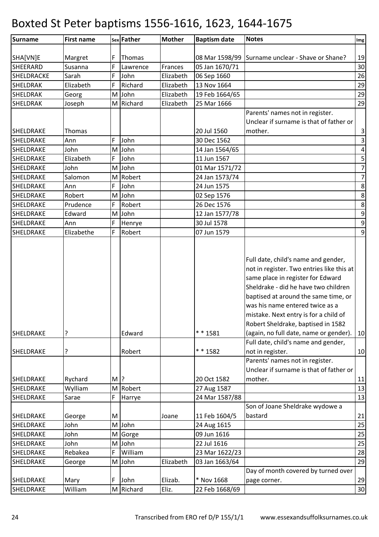| Surname                | <b>First name</b>  |        | sex Father | <b>Mother</b> | <b>Baptism date</b>        | <b>Notes</b>                                                                                                                                                                                                                                                                                                                                                      | $\mathop{\textsf{Img}}$ |
|------------------------|--------------------|--------|------------|---------------|----------------------------|-------------------------------------------------------------------------------------------------------------------------------------------------------------------------------------------------------------------------------------------------------------------------------------------------------------------------------------------------------------------|-------------------------|
|                        |                    |        |            |               |                            |                                                                                                                                                                                                                                                                                                                                                                   |                         |
| SHA[VN]E               | Margret            | F      | Thomas     |               | 08 Mar 1598/99             | Surname unclear - Shave or Shane?                                                                                                                                                                                                                                                                                                                                 | 19                      |
| <b>SHEERARD</b>        | Susanna            | F      | Lawrence   | Frances       | 05 Jan 1670/71             |                                                                                                                                                                                                                                                                                                                                                                   | 30                      |
| SHELDRACKE             | Sarah              | F      | John       | Elizabeth     | 06 Sep 1660                |                                                                                                                                                                                                                                                                                                                                                                   | 26                      |
| <b>SHELDRAK</b>        | Elizabeth          | F      | Richard    | Elizabeth     | 13 Nov 1664                |                                                                                                                                                                                                                                                                                                                                                                   | 29                      |
| <b>SHELDRAK</b>        | Georg              |        | M John     | Elizabeth     | 19 Feb 1664/65             |                                                                                                                                                                                                                                                                                                                                                                   | 29                      |
| <b>SHELDRAK</b>        | Joseph             |        | M Richard  | Elizabeth     | 25 Mar 1666                |                                                                                                                                                                                                                                                                                                                                                                   | 29                      |
|                        |                    |        |            |               |                            | Parents' names not in register.                                                                                                                                                                                                                                                                                                                                   |                         |
|                        |                    |        |            |               |                            | Unclear if surname is that of father or                                                                                                                                                                                                                                                                                                                           |                         |
| SHELDRAKE              | Thomas             |        |            |               | 20 Jul 1560                | mother.                                                                                                                                                                                                                                                                                                                                                           | $\mathbf{3}$            |
| SHELDRAKE              | Ann                | F      | John       |               | 30 Dec 1562                |                                                                                                                                                                                                                                                                                                                                                                   | $\overline{3}$          |
| SHELDRAKE              | John               | M      | John       |               | 14 Jan 1564/65             |                                                                                                                                                                                                                                                                                                                                                                   | $\pmb{4}$               |
| SHELDRAKE              | Elizabeth          | F      | John       |               | 11 Jun 1567                |                                                                                                                                                                                                                                                                                                                                                                   | $\mathsf S$             |
| SHELDRAKE              | John               |        | M John     |               | 01 Mar 1571/72             |                                                                                                                                                                                                                                                                                                                                                                   | $\overline{7}$          |
| SHELDRAKE              | Salomon            |        | M Robert   |               | 24 Jan 1573/74             |                                                                                                                                                                                                                                                                                                                                                                   | $\overline{7}$          |
| SHELDRAKE              | Ann                | F      | John       |               | 24 Jun 1575                |                                                                                                                                                                                                                                                                                                                                                                   | $\bf 8$                 |
| <b>SHELDRAKE</b>       | Robert             | M      | John       |               | 02 Sep 1576                |                                                                                                                                                                                                                                                                                                                                                                   | $\bf 8$                 |
| SHELDRAKE              | Prudence           | F      | Robert     |               | 26 Dec 1576                |                                                                                                                                                                                                                                                                                                                                                                   | $\,8\,$                 |
| SHELDRAKE              | Edward             |        | M John     |               | 12 Jan 1577/78             |                                                                                                                                                                                                                                                                                                                                                                   | $\boldsymbol{9}$        |
| SHELDRAKE              | Ann                | F      | Henrye     |               | 30 Jul 1578                |                                                                                                                                                                                                                                                                                                                                                                   | $\boldsymbol{9}$        |
| SHELDRAKE              | Elizabethe         | F      | Robert     |               | 07 Jun 1579                |                                                                                                                                                                                                                                                                                                                                                                   | 9                       |
| SHELDRAKE              | ?                  |        | Edward     |               | $* * 1581$                 | Full date, child's name and gender,<br>not in register. Two entries like this at<br>same place in register for Edward<br>Sheldrake - did he have two children<br>baptised at around the same time, or<br>was his name entered twice as a<br>mistake. Next entry is for a child of<br>Robert Sheldrake, baptised in 1582<br>(again, no full date, name or gender). | 10                      |
|                        |                    |        |            |               |                            | Full date, child's name and gender,                                                                                                                                                                                                                                                                                                                               |                         |
| SHELDRAKE              | ?                  |        | Robert     |               | * * 1582                   | not in register.                                                                                                                                                                                                                                                                                                                                                  | 10                      |
| SHELDRAKE<br>SHELDRAKE | Rychard<br>Wylliam | M $ ?$ | M Robert   |               | 20 Oct 1582<br>27 Aug 1587 | Parents' names not in register.<br>Unclear if surname is that of father or<br>mother.                                                                                                                                                                                                                                                                             | 11<br>13                |
| SHELDRAKE              | Sarae              | F      | Harrye     |               | 24 Mar 1587/88             |                                                                                                                                                                                                                                                                                                                                                                   | 13                      |
|                        |                    |        |            |               |                            | Son of Joane Sheldrake wydowe a                                                                                                                                                                                                                                                                                                                                   |                         |
| SHELDRAKE              | George             | M      |            | Joane         | 11 Feb 1604/5              | bastard                                                                                                                                                                                                                                                                                                                                                           | 21                      |
| <b>SHELDRAKE</b>       | John               |        | M John     |               | 24 Aug 1615                |                                                                                                                                                                                                                                                                                                                                                                   | 25                      |
| SHELDRAKE              | John               |        | M Gorge    |               | 09 Jun 1616                |                                                                                                                                                                                                                                                                                                                                                                   | 25                      |
| SHELDRAKE              | John               |        | M John     |               | 22 Jul 1616                |                                                                                                                                                                                                                                                                                                                                                                   | 25                      |
| SHELDRAKE              | Rebakea            | F      | William    |               | 23 Mar 1622/23             |                                                                                                                                                                                                                                                                                                                                                                   | 28                      |
| SHELDRAKE              | George             |        | M John     | Elizabeth     | 03 Jan 1663/64             |                                                                                                                                                                                                                                                                                                                                                                   | 29                      |
|                        |                    |        |            |               |                            | Day of month covered by turned over                                                                                                                                                                                                                                                                                                                               |                         |
| SHELDRAKE              | Mary               | F      | John       | Elizab.       | * Nov 1668                 | page corner.                                                                                                                                                                                                                                                                                                                                                      | 29                      |
| SHELDRAKE              | William            |        | M Richard  | Eliz.         | 22 Feb 1668/69             |                                                                                                                                                                                                                                                                                                                                                                   | 30                      |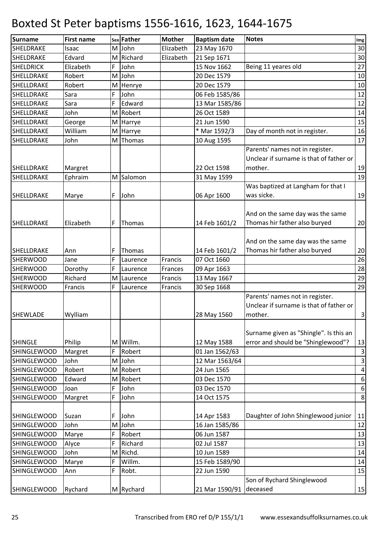| Surname            | <b>First name</b> |   | sex Father | <b>Mother</b> | <b>Baptism date</b>     | <b>Notes</b>                            | Img              |
|--------------------|-------------------|---|------------|---------------|-------------------------|-----------------------------------------|------------------|
| SHELDRAKE          | Isaac             |   | M John     | Elizabeth     | 23 May 1670             |                                         | 30               |
| SHELDRAKE          | Edvard            |   | M Richard  | Elizabeth     | 21 Sep 1671             |                                         | 30               |
| <b>SHELDRICK</b>   | Elizabeth         | F | John       |               | 15 Nov 1662             | Being 11 yeares old                     | 27               |
| SHELLDRAKE         | Robert            | M | John       |               | 20 Dec 1579             |                                         | 10               |
| SHELLDRAKE         | Robert            |   | M Henrye   |               | 20 Dec 1579             |                                         | 10               |
| SHELLDRAKE         | Sara              | F | John       |               | 06 Feb 1585/86          |                                         | 12               |
| SHELLDRAKE         | Sara              | F | Edward     |               | 13 Mar 1585/86          |                                         | 12               |
| SHELLDRAKE         | John              |   | M Robert   |               | 26 Oct 1589             |                                         | 14               |
| SHELLDRAKE         | George            | M | Harrye     |               | 21 Jun 1590             |                                         | 15               |
| SHELLDRAKE         | William           |   | M Harrye   |               | * Mar 1592/3            | Day of month not in register.           | 16               |
| SHELLDRAKE         | John              | M | Thomas     |               | 10 Aug 1595             |                                         | 17               |
|                    |                   |   |            |               |                         | Parents' names not in register.         |                  |
|                    |                   |   |            |               |                         | Unclear if surname is that of father or |                  |
| SHELLDRAKE         | Margret           |   |            |               | 22 Oct 1598             | mother.                                 | 19               |
| SHELLDRAKE         | Ephraim           |   | M Salomon  |               | 31 May 1599             |                                         | 19               |
|                    |                   |   |            |               |                         | Was baptized at Langham for that I      |                  |
| SHELLDRAKE         | Marye             | F | John       |               | 06 Apr 1600             | was sicke.                              | 19               |
|                    |                   |   |            |               |                         |                                         |                  |
|                    |                   |   |            |               |                         | And on the same day was the same        |                  |
| SHELLDRAKE         | Elizabeth         | F | Thomas     |               | 14 Feb 1601/2           | Thomas hir father also buryed           | 20               |
|                    |                   |   |            |               |                         |                                         |                  |
|                    |                   |   |            |               |                         | And on the same day was the same        |                  |
| SHELLDRAKE         | Ann               | F | Thomas     |               | 14 Feb 1601/2           | Thomas hir father also buryed           | 20               |
| <b>SHERWOOD</b>    | Jane              | F | Laurence   | Francis       | 07 Oct 1660             |                                         | 26               |
| <b>SHERWOOD</b>    | Dorothy           | F | Laurence   | Frances       | 09 Apr 1663             |                                         | 28               |
| SHERWOOD           | Richard           | M | Laurence   | Francis       | 13 May 1667             |                                         | 29               |
| <b>SHERWOOD</b>    | Francis           | F | Laurence   | Francis       | 30 Sep 1668             |                                         | 29               |
|                    |                   |   |            |               |                         | Parents' names not in register.         |                  |
|                    |                   |   |            |               |                         | Unclear if surname is that of father or |                  |
| <b>SHEWLADE</b>    | Wylliam           |   |            |               | 28 May 1560             | mother.                                 | $\mathbf{3}$     |
|                    |                   |   |            |               |                         |                                         |                  |
|                    |                   |   |            |               |                         | Surname given as "Shingle". Is this an  |                  |
| <b>SHINGLE</b>     | Philip            |   | M Willm.   |               | 12 May 1588             | error and should be "Shinglewood"?      | 13               |
| <b>SHINGLEWOOD</b> | Margret           | F | Robert     |               | 01 Jan 1562/63          |                                         | $\vert$ 3        |
| <b>SHINGLEWOOD</b> | John              |   | M John     |               | 12 Mar 1563/64          |                                         | $\mathbf{3}$     |
| <b>SHINGLEWOOD</b> | Robert            |   | M Robert   |               | 24 Jun 1565             |                                         | $\pmb{4}$        |
| <b>SHINGLEWOOD</b> | Edward            |   | M Robert   |               | 03 Dec 1570             |                                         | $\boldsymbol{6}$ |
| <b>SHINGLEWOOD</b> | Joan              | F | John       |               | 03 Dec 1570             |                                         | $\boldsymbol{6}$ |
| <b>SHINGLEWOOD</b> | Margret           | F | John       |               | 14 Oct 1575             |                                         | $\bf 8$          |
| <b>SHINGLEWOOD</b> | Suzan             | F | John       |               | 14 Apr 1583             | Daughter of John Shinglewood junior     | 11               |
| <b>SHINGLEWOOD</b> | John              |   | M John     |               | 16 Jan 1585/86          |                                         | 12               |
| <b>SHINGLEWOOD</b> | Marye             | F | Robert     |               | 06 Jun 1587             |                                         | 13               |
| <b>SHINGLEWOOD</b> | Alyce             | F | Richard    |               | 02 Jul 1587             |                                         | 13               |
| <b>SHINGLEWOOD</b> | John              | M | Richd.     |               | 10 Jun 1589             |                                         | 14               |
| <b>SHINGLEWOOD</b> | Marye             | F | Willm.     |               | 15 Feb 1589/90          |                                         | 14               |
| <b>SHINGLEWOOD</b> | Ann               | F | Robt.      |               | 22 Jun 1590             |                                         | 15               |
|                    |                   |   |            |               |                         | Son of Rychard Shinglewood              |                  |
| <b>SHINGLEWOOD</b> | Rychard           |   | M Rychard  |               | 21 Mar 1590/91 deceased |                                         | 15               |
|                    |                   |   |            |               |                         |                                         |                  |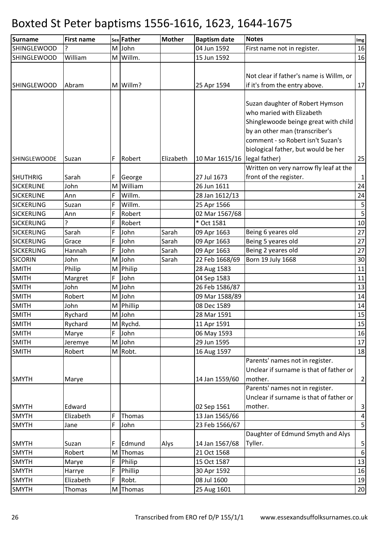| <b>Surname</b>               | <b>First name</b> |     | sex Father | <b>Mother</b> | <b>Baptism date</b>           | <b>Notes</b>                               | Img                          |
|------------------------------|-------------------|-----|------------|---------------|-------------------------------|--------------------------------------------|------------------------------|
| <b>SHINGLEWOOD</b>           | 7                 |     | M John     |               | 04 Jun 1592                   | First name not in register.                | 16                           |
| <b>SHINGLEWOOD</b>           | William           |     | M Willm.   |               | 15 Jun 1592                   |                                            | 16                           |
|                              |                   |     |            |               |                               |                                            |                              |
|                              |                   |     |            |               |                               | Not clear if father's name is Willm, or    |                              |
| <b>SHINGLEWOOD</b>           | Abram             |     | M Willm?   |               | 25 Apr 1594                   | if it's from the entry above.              | 17                           |
|                              |                   |     |            |               |                               |                                            |                              |
|                              |                   |     |            |               |                               | Suzan daughter of Robert Hymson            |                              |
|                              |                   |     |            |               |                               | who maried with Elizabeth                  |                              |
|                              |                   |     |            |               |                               | Shinglewoode beinge great with child       |                              |
|                              |                   |     |            |               |                               | by an other man (transcriber's             |                              |
|                              |                   |     |            |               |                               | comment - so Robert isn't Suzan's          |                              |
|                              |                   |     |            |               |                               | biological father, but would be her        |                              |
| <b>SHINGLEWOODE</b>          | Suzan             | F   | Robert     | Elizabeth     | 10 Mar 1615/16                | legal father)                              | 25                           |
|                              |                   |     |            |               |                               | Written on very narrow fly leaf at the     |                              |
| <b>SHUTHRIG</b>              | Sarah             | F   | George     |               | 27 Jul 1673                   | front of the register.                     | $\mathbf 1$                  |
| <b>SICKERLINE</b>            | John              | M   | William    |               | 26 Jun 1611                   |                                            | 24                           |
| <b>SICKERLINE</b>            | Ann               | F   | Willm.     |               | 28 Jan 1612/13                |                                            | 24                           |
| <b>SICKERLING</b>            | Suzan             | F   | Willm.     |               | 25 Apr 1566                   |                                            | $\sf 5$                      |
| <b>SICKERLING</b>            | Ann               | F   | Robert     |               | 02 Mar 1567/68                |                                            | $\overline{\mathbf{5}}$      |
| <b>SICKERLING</b>            | ?                 | F   | Robert     |               | * Oct 1581                    |                                            | 10                           |
| <b>SICKERLING</b>            | Sarah             | F   | John       | Sarah         | 09 Apr 1663                   | Being 6 yeares old                         | 27                           |
| <b>SICKERLING</b>            | Grace             | F   | John       | Sarah         | 09 Apr 1663                   | Being 5 yeares old                         | 27                           |
| <b>SICKERLING</b>            | Hannah            | F   | John       | Sarah         | 09 Apr 1663                   | Being 2 yeares old                         | 27                           |
| <b>SICORIN</b>               | John              |     | M John     | Sarah         | 22 Feb 1668/69                | Born 19 July 1668                          | 30                           |
| <b>SMITH</b>                 | Philip            |     | M Philip   |               | 28 Aug 1583                   |                                            | 11                           |
| <b>SMITH</b>                 | Margret           | F   | John       |               | 04 Sep 1583                   |                                            | 11                           |
| <b>SMITH</b>                 | John              |     | M John     |               | 26 Feb 1586/87                |                                            | 13                           |
| <b>SMITH</b>                 | Robert            |     | M John     |               | 09 Mar 1588/89                |                                            | 14                           |
| <b>SMITH</b>                 | John              |     | M Phillip  |               | 08 Dec 1589                   |                                            | 14                           |
| <b>SMITH</b>                 | Rychard           |     | M John     |               | 28 Mar 1591                   |                                            | 15                           |
| <b>SMITH</b>                 | Rychard           |     | M Rychd.   |               | 11 Apr 1591                   |                                            | 15                           |
| <b>SMITH</b>                 | Marye             | F   | John       |               | 06 May 1593                   |                                            | 16                           |
| <b>SMITH</b>                 | Jeremye           |     | M John     |               | 29 Jun 1595                   |                                            | 17                           |
| <b>SMITH</b>                 | Robert            |     | M Robt.    |               | 16 Aug 1597                   |                                            | 18                           |
|                              |                   |     |            |               |                               | Parents' names not in register.            |                              |
|                              |                   |     |            |               |                               | Unclear if surname is that of father or    |                              |
| <b>SMYTH</b>                 | Marye             |     |            |               | 14 Jan 1559/60                | mother.<br>Parents' names not in register. | $\overline{2}$               |
|                              |                   |     |            |               |                               | Unclear if surname is that of father or    |                              |
|                              | Edward            |     |            |               |                               | mother.                                    |                              |
| <b>SMYTH</b><br><b>SMYTH</b> | Elizabeth         | F   | Thomas     |               | 02 Sep 1561<br>13 Jan 1565/66 |                                            | $\vert$ 3<br>$\vert 4 \vert$ |
| <b>SMYTH</b>                 | Jane              | F   | John       |               | 23 Feb 1566/67                |                                            | $\overline{5}$               |
|                              |                   |     |            |               |                               | Daughter of Edmund Smyth and Alys          |                              |
| <b>SMYTH</b>                 | Suzan             | F   | Edmund     | Alys          | 14 Jan 1567/68                | Tyller.                                    | $\mathsf S$                  |
| <b>SMYTH</b>                 | Robert            | M l | Thomas     |               | 21 Oct 1568                   |                                            | $\boldsymbol{6}$             |
| <b>SMYTH</b>                 | Marye             | F   | Philip     |               | 15 Oct 1587                   |                                            | 13                           |
| <b>SMYTH</b>                 | Harrye            | F   | Phillip    |               | 30 Apr 1592                   |                                            | 16                           |
| <b>SMYTH</b>                 | Elizabeth         | F   | Robt.      |               | 08 Jul 1600                   |                                            | 19                           |
| <b>SMYTH</b>                 | Thomas            |     | M Thomas   |               | 25 Aug 1601                   |                                            | 20                           |
|                              |                   |     |            |               |                               |                                            |                              |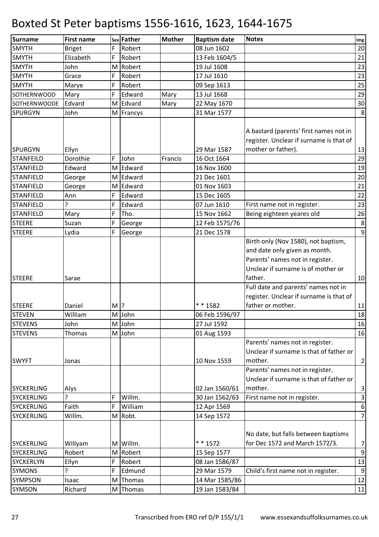| <b>Surname</b>      | <b>First name</b> |        | sex Father | <b>Mother</b> | <b>Baptism date</b> | <b>Notes</b>                                                                                                      | $\mathop{\textsf{Img}}$ |
|---------------------|-------------------|--------|------------|---------------|---------------------|-------------------------------------------------------------------------------------------------------------------|-------------------------|
| <b>SMYTH</b>        | <b>Briget</b>     | F      | Robert     |               | 08 Jun 1602         |                                                                                                                   | 20                      |
| <b>SMYTH</b>        | Elizabeth         | F      | Robert     |               | 13 Feb 1604/5       |                                                                                                                   | 21                      |
| <b>SMYTH</b>        | John              |        | M Robert   |               | 19 Jul 1608         |                                                                                                                   | 23                      |
| <b>SMYTH</b>        | Grace             | F      | Robert     |               | 17 Jul 1610         |                                                                                                                   | 23                      |
| <b>SMYTH</b>        | Marye             | F      | Robert     |               | 09 Sep 1613         |                                                                                                                   | 25                      |
| <b>SOTHERNWOOD</b>  | Mary              | F      | Edward     | Mary          | 13 Jul 1668         |                                                                                                                   | 29                      |
| <b>SOTHERNWOODE</b> | Edvard            |        | M Edvard   | Mary          | 22 May 1670         |                                                                                                                   | 30                      |
| <b>SPURGYN</b>      | John              |        | M Francys  |               | 31 Mar 1577         |                                                                                                                   | 8                       |
| <b>SPURGYN</b>      | Ellyn             |        |            |               | 29 Mar 1587         | A bastard (parents' first names not in<br>register. Unclear if surname is that of<br>mother or father).           | 13                      |
| <b>STANFEILD</b>    | Dorothie          | F      | John       | Francis       | 16 Oct 1664         |                                                                                                                   | 29                      |
| <b>STANFIELD</b>    | Edward            |        | M Edward   |               | 16 Nov 1600         |                                                                                                                   | 19                      |
| <b>STANFIELD</b>    | George            |        | M Edward   |               | 21 Dec 1601         |                                                                                                                   | 20                      |
| <b>STANFIELD</b>    | George            |        | M Edward   |               | 01 Nov 1603         |                                                                                                                   | 21                      |
| <b>STANFIELD</b>    | Ann               | F      | Edward     |               | 15 Dec 1605         |                                                                                                                   | 22                      |
| <b>STANFIELD</b>    | ?                 | F      | Edward     |               | 07 Jun 1610         | First name not in register.                                                                                       | 23                      |
| <b>STANFIELD</b>    | Mary              | F      | Tho.       |               | 15 Nov 1662         | Being eighteen yeares old                                                                                         | 26                      |
| <b>STEERE</b>       | Suzan             | F      | George     |               | 12 Feb 1575/76      |                                                                                                                   | $\bf 8$                 |
| <b>STEERE</b>       | Lydia             | F      | George     |               | 21 Dec 1578         | Birth only (Nov 1580), not baptism,                                                                               | $\overline{9}$          |
| <b>STEERE</b>       | Sarae             |        |            |               |                     | and date only given as month.<br>Parents' names not in register.<br>Unclear if surname is of mother or<br>father. | 10                      |
|                     |                   |        |            |               |                     | Full date and parents' names not in                                                                               |                         |
|                     |                   |        |            |               |                     | register. Unclear if surname is that of                                                                           |                         |
| <b>STEERE</b>       | Daniel            | $M$  ? |            |               | ** 1582             | father or mother.                                                                                                 | 11                      |
| <b>STEVEN</b>       | William           |        | M John     |               | 06 Feb 1596/97      |                                                                                                                   | 18                      |
| <b>STEVENS</b>      | John              |        | M John     |               | 27 Jul 1592         |                                                                                                                   | 16                      |
| <b>STEVENS</b>      | Thomas            |        | M John     |               | 01 Aug 1593         |                                                                                                                   | 16                      |
| <b>SWYFT</b>        | Jonas             |        |            |               | 10 Nov 1559         | Parents' names not in register.<br>Unclear if surname is that of father or<br>mother.                             | $\mathbf{2}$            |
| <b>SYCKERLING</b>   | Alys              |        |            |               | 02 Jan 1560/61      | Parents' names not in register.<br>Unclear if surname is that of father or<br>mother.                             | $\mathbf{3}$            |
| <b>SYCKERLING</b>   | ç                 | F      | Willm.     |               | 30 Jan 1562/63      | First name not in register.                                                                                       | $\vert$ 3               |
| <b>SYCKERLING</b>   | Faith             | F      | William    |               | 12 Apr 1569         |                                                                                                                   | $\boldsymbol{6}$        |
| <b>SYCKERLING</b>   | Willm.            |        | M Robt.    |               | 14 Sep 1572         |                                                                                                                   | $\overline{7}$          |
| <b>SYCKERLING</b>   | Willyam           |        | M Willm.   |               | $* * 1572$          | No date, but falls between baptisms<br>for Dec 1572 and March 1572/3.                                             | $\overline{7}$          |
| <b>SYCKERLING</b>   | Robert            |        | M Robert   |               | 15 Sep 1577         |                                                                                                                   | $\overline{9}$          |
| <b>SYCKERLYN</b>    | Ellyn             | F      | Robert     |               | 08 Jan 1586/87      |                                                                                                                   | 13                      |
| <b>SYMONS</b>       | ς                 | F      | Edmund     |               | 29 Mar 1579         | Child's first name not in register.                                                                               | $\overline{9}$          |
| <b>SYMPSON</b>      | Isaac             |        | M Thomas   |               | 14 Mar 1585/86      |                                                                                                                   | 12                      |
| <b>SYMSON</b>       | Richard           |        | M Thomas   |               | 19 Jan 1583/84      |                                                                                                                   | 11                      |
|                     |                   |        |            |               |                     |                                                                                                                   |                         |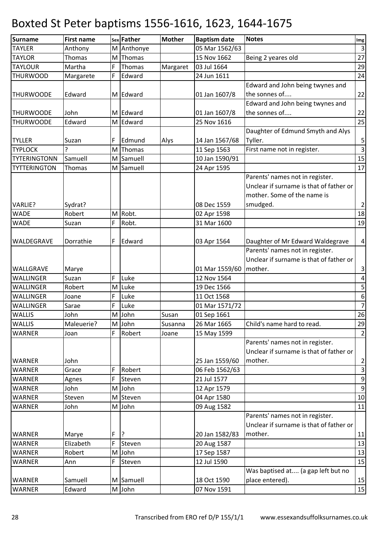| <b>Surname</b>      | <b>First name</b> |   | sex Father | <b>Mother</b> | <b>Baptism date</b> | <b>Notes</b>                            | Img                     |
|---------------------|-------------------|---|------------|---------------|---------------------|-----------------------------------------|-------------------------|
| <b>TAYLER</b>       | Anthony           |   | M Anthonye |               | 05 Mar 1562/63      |                                         | $\overline{3}$          |
| <b>TAYLOR</b>       | Thomas            | M | Thomas     |               | 15 Nov 1662         | Being 2 yeares old                      | 27                      |
| <b>TAYLOUR</b>      | Martha            | F | Thomas     | Margaret      | 03 Jul 1664         |                                         | 29                      |
| <b>THURWOOD</b>     | Margarete         | F | Edward     |               | 24 Jun 1611         |                                         | 24                      |
|                     |                   |   |            |               |                     | Edward and John being twynes and        |                         |
| <b>THURWOODE</b>    | Edward            |   | M Edward   |               | 01 Jan 1607/8       | the sonnes of                           | 22                      |
|                     |                   |   |            |               |                     | Edward and John being twynes and        |                         |
| <b>THURWOODE</b>    | John              |   | M Edward   |               | 01 Jan 1607/8       | the sonnes of                           | 22                      |
| <b>THURWOODE</b>    | Edward            |   | M Edward   |               | 25 Nov 1616         |                                         | 25                      |
|                     |                   |   |            |               |                     | Daughter of Edmund Smyth and Alys       |                         |
| <b>TYLLER</b>       | Suzan             | F | Edmund     | Alys          | 14 Jan 1567/68      | Tyller.                                 | $\mathsf S$             |
| <b>TYPLOCK</b>      |                   | M | Thomas     |               | 11 Sep 1563         | First name not in register.             | $\overline{\mathbf{3}}$ |
| <b>TYTERINGTONN</b> | Samuell           |   | M Samuell  |               | 10 Jan 1590/91      |                                         | 15                      |
| <b>TYTTERINGTON</b> | Thomas            |   | M Samuell  |               | 24 Apr 1595         |                                         | 17                      |
|                     |                   |   |            |               |                     | Parents' names not in register.         |                         |
|                     |                   |   |            |               |                     | Unclear if surname is that of father or |                         |
|                     |                   |   |            |               |                     | mother. Some of the name is             |                         |
| VARLIE?             | Sydrat?           |   |            |               | 08 Dec 1559         | smudged.                                | $\overline{2}$          |
| <b>WADE</b>         | Robert            |   | M Robt.    |               | 02 Apr 1598         |                                         | 18                      |
| <b>WADE</b>         | Suzan             | F | Robt.      |               | 31 Mar 1600         |                                         | 19                      |
|                     |                   |   |            |               |                     |                                         |                         |
| WALDEGRAVE          | Dorrathie         | F | Edward     |               | 03 Apr 1564         | Daughter of Mr Edward Waldegrave        | $\pmb{4}$               |
|                     |                   |   |            |               |                     | Parents' names not in register.         |                         |
|                     |                   |   |            |               |                     | Unclear if surname is that of father or |                         |
| WALLGRAVE           | Marye             |   |            |               | 01 Mar 1559/60      | mother.                                 | $\mathbf{3}$            |
| WALLINGER           | Suzan             | F | Luke       |               | 12 Nov 1564         |                                         | $\pmb{4}$               |
| WALLINGER           | Robert            | M | Luke       |               | 19 Dec 1566         |                                         | $\mathsf S$             |
| WALLINGER           | Joane             | F | Luke       |               | 11 Oct 1568         |                                         | $\boldsymbol{6}$        |
| WALLINGER           | Sarae             | F | Luke       |               | 01 Mar 1571/72      |                                         | $\overline{7}$          |
| <b>WALLIS</b>       | John              | M | John       | Susan         | 01 Sep 1661         |                                         | 26                      |
| <b>WALLIS</b>       | Maleuerie?        |   | M John     | Susanna       | 26 Mar 1665         | Child's name hard to read.              | 29                      |
| <b>WARNER</b>       | Joan              |   | Robert     | Joane         | 15 May 1599         |                                         | $\overline{2}$          |
|                     |                   |   |            |               |                     | Parents' names not in register.         |                         |
|                     |                   |   |            |               |                     | Unclear if surname is that of father or |                         |
| <b>WARNER</b>       | John              |   |            |               | 25 Jan 1559/60      | mother.                                 | $\overline{a}$          |
| <b>WARNER</b>       | Grace             | F | Robert     |               | 06 Feb 1562/63      |                                         | $\mathbf{3}$            |
| <b>WARNER</b>       | Agnes             |   | Steven     |               | 21 Jul 1577         |                                         | $\boldsymbol{9}$        |
| <b>WARNER</b>       | John              |   | M John     |               | 12 Apr 1579         |                                         | $\overline{9}$          |
| <b>WARNER</b>       | Steven            |   | M Steven   |               | 04 Apr 1580         |                                         | $10\,$                  |
| <b>WARNER</b>       | John              | M | John       |               | 09 Aug 1582         |                                         | 11                      |
|                     |                   |   |            |               |                     | Parents' names not in register.         |                         |
|                     |                   |   |            |               |                     | Unclear if surname is that of father or |                         |
| <b>WARNER</b>       | Marye             | F |            |               | 20 Jan 1582/83      | mother.                                 | 11                      |
| <b>WARNER</b>       | Elizabeth         | F | Steven     |               | 20 Aug 1587         |                                         | 13                      |
| <b>WARNER</b>       | Robert            | M | John       |               | 17 Sep 1587         |                                         | 13                      |
| <b>WARNER</b>       | Ann               | F | Steven     |               | 12 Jul 1590         |                                         | 15                      |
|                     |                   |   |            |               |                     | Was baptised at (a gap left but no      |                         |
| <b>WARNER</b>       | Samuell           |   | M Samuell  |               | 18 Oct 1590         | place entered).                         | 15                      |
| <b>WARNER</b>       | Edward            |   | M John     |               | 07 Nov 1591         |                                         | 15                      |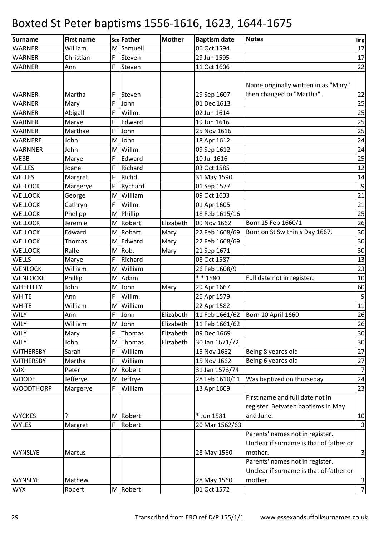| <b>Surname</b>   | <b>First name</b> |   | sex Father | <b>Mother</b> | <b>Baptism date</b> | <b>Notes</b>                            | Img              |
|------------------|-------------------|---|------------|---------------|---------------------|-----------------------------------------|------------------|
| <b>WARNER</b>    | William           |   | M Samuell  |               | 06 Oct 1594         |                                         | 17               |
| <b>WARNER</b>    | Christian         | F | Steven     |               | 29 Jun 1595         |                                         | 17               |
| <b>WARNER</b>    | Ann               | F | Steven     |               | 11 Oct 1606         |                                         | 22               |
|                  |                   |   |            |               |                     | Name originally written in as "Mary"    |                  |
| <b>WARNER</b>    | Martha            | F | Steven     |               | 29 Sep 1607         | then changed to "Martha".               | 22               |
| <b>WARNER</b>    | Mary              | F | John       |               | 01 Dec 1613         |                                         | 25               |
| <b>WARNER</b>    | Abigall           | F | Willm.     |               | 02 Jun 1614         |                                         | 25               |
| <b>WARNER</b>    | Marye             | F | Edward     |               | 19 Jun 1616         |                                         | 25               |
| <b>WARNER</b>    | Marthae           | F | John       |               | 25 Nov 1616         |                                         | 25               |
| WARNERE          | John              |   | M John     |               | 18 Apr 1612         |                                         | 24               |
| <b>WARNNER</b>   | John              | M | Willm.     |               | 09 Sep 1612         |                                         | 24               |
| <b>WEBB</b>      | Marye             | F | Edward     |               | 10 Jul 1616         |                                         | 25               |
| <b>WELLES</b>    | Joane             | F | Richard    |               | 03 Oct 1585         |                                         | 12               |
| WELLES           | Margret           | F | Richd.     |               | 31 May 1590         |                                         | 14               |
| <b>WELLOCK</b>   | Margerye          | F | Rychard    |               | 01 Sep 1577         |                                         | $\boldsymbol{9}$ |
| <b>WELLOCK</b>   | George            | M | William    |               | 09 Oct 1603         |                                         | 21               |
| <b>WELLOCK</b>   | Cathryn           | F | Willm.     |               | 01 Apr 1605         |                                         | 21               |
| <b>WELLOCK</b>   | Phelipp           | M | Phillip    |               | 18 Feb 1615/16      |                                         | 25               |
| <b>WELLOCK</b>   | Jeremie           |   | M Robert   | Elizabeth     | 09 Nov 1662         | Born 15 Feb 1660/1                      | 26               |
| <b>WELLOCK</b>   | Edward            | M | Robart     | Mary          | 22 Feb 1668/69      | Born on St Swithin's Day 1667.          | 30               |
| <b>WELLOCK</b>   | Thomas            | M | Edward     | Mary          | 22 Feb 1668/69      |                                         | 30               |
| <b>WELLOCK</b>   | Ralfe             |   | M Rob.     | Mary          | 21 Sep 1671         |                                         | 30               |
| WELLS            | Marye             | F | Richard    |               | 08 Oct 1587         |                                         | 13               |
| <b>WENLOCK</b>   | William           | M | William    |               | 26 Feb 1608/9       |                                         | 23               |
| WENLOCKE         | Phillip           | M | Adam       |               | $* * 1580$          | Full date not in register.              | $10\,$           |
| WHEELLEY         | John              | M | John       | Mary          | 29 Apr 1667         |                                         | 60               |
| <b>WHITE</b>     | Ann               | F | Willm.     |               | 26 Apr 1579         |                                         | $\boldsymbol{9}$ |
| <b>WHITE</b>     | William           | M | William    |               | 22 Apr 1582         |                                         | 11               |
| <b>WILY</b>      | Ann               | F | John       | Elizabeth     | 11 Feb 1661/62      | Born 10 April 1660                      | 26               |
| <b>WILY</b>      | William           |   | M John     | Elizabeth     | 11 Feb 1661/62      |                                         | 26               |
| <b>WILY</b>      | Mary              | F | Thomas     | Elizabeth     | 09 Dec 1669         |                                         | 30               |
| <b>WILY</b>      | John              |   | M Thomas   | Elizabeth     | 30 Jan 1671/72      |                                         | 30               |
| <b>WITHERSBY</b> | Sarah             | F | William    |               | 15 Nov 1662         | Being 8 yeares old                      | 27               |
| <b>WITHERSBY</b> | Martha            | F | William    |               | 15 Nov 1662         | Being 6 yeares old                      | 27               |
| <b>WIX</b>       | Peter             |   | M Robert   |               | 31 Jan 1573/74      |                                         | $\overline{7}$   |
| <b>WOODE</b>     | Jefferye          |   | M Jeffrye  |               | 28 Feb 1610/11      | Was baptized on thurseday               | 24               |
| <b>WOODTHORP</b> | Margerye          | F | William    |               | 13 Apr 1609         |                                         | 23               |
|                  |                   |   |            |               |                     | First name and full date not in         |                  |
|                  |                   |   |            |               |                     | register. Between baptisms in May       |                  |
| <b>WYCKES</b>    |                   |   | M Robert   |               | * Jun 1581          | and June.                               | 10               |
| <b>WYLES</b>     | Margret           | F | Robert     |               | 20 Mar 1562/63      |                                         | $\mathbf{3}$     |
|                  |                   |   |            |               |                     | Parents' names not in register.         |                  |
|                  |                   |   |            |               |                     | Unclear if surname is that of father or |                  |
| <b>WYNSLYE</b>   | <b>Marcus</b>     |   |            |               | 28 May 1560         | mother.                                 | $\mathbf{3}$     |
|                  |                   |   |            |               |                     | Parents' names not in register.         |                  |
|                  |                   |   |            |               |                     | Unclear if surname is that of father or |                  |
| <b>WYNSLYE</b>   | Mathew            |   |            |               | 28 May 1560         | mother.                                 | $\mathbf{3}$     |
| <b>WYX</b>       | Robert            |   | M Robert   |               | 01 Oct 1572         |                                         | $\overline{z}$   |